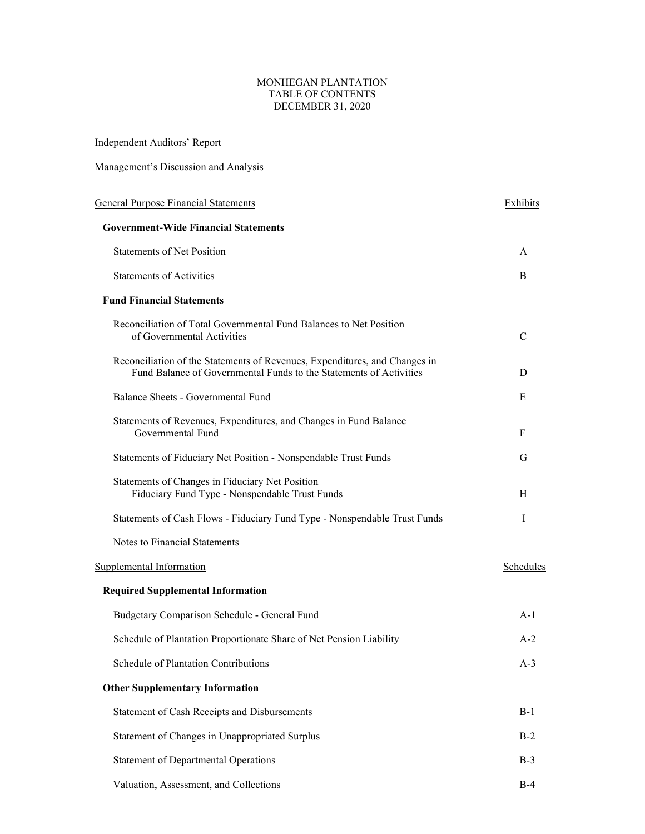# MONHEGAN PLANTATION TABLE OF CONTENTS DECEMBER 31, 2020

| Independent Auditors' Report                                                                                                                     |           |
|--------------------------------------------------------------------------------------------------------------------------------------------------|-----------|
| Management's Discussion and Analysis                                                                                                             |           |
| <b>General Purpose Financial Statements</b>                                                                                                      | Exhibits  |
| <b>Government-Wide Financial Statements</b>                                                                                                      |           |
| <b>Statements of Net Position</b>                                                                                                                | A         |
| <b>Statements of Activities</b>                                                                                                                  | B         |
| <b>Fund Financial Statements</b>                                                                                                                 |           |
| Reconciliation of Total Governmental Fund Balances to Net Position<br>of Governmental Activities                                                 | C         |
| Reconciliation of the Statements of Revenues, Expenditures, and Changes in<br>Fund Balance of Governmental Funds to the Statements of Activities | D         |
| Balance Sheets - Governmental Fund                                                                                                               | E         |
| Statements of Revenues, Expenditures, and Changes in Fund Balance<br>Governmental Fund                                                           | F         |
| Statements of Fiduciary Net Position - Nonspendable Trust Funds                                                                                  | G         |
| Statements of Changes in Fiduciary Net Position<br>Fiduciary Fund Type - Nonspendable Trust Funds                                                | H         |
| Statements of Cash Flows - Fiduciary Fund Type - Nonspendable Trust Funds                                                                        | I         |
| Notes to Financial Statements                                                                                                                    |           |
| Supplemental Information                                                                                                                         | Schedules |
| <b>Required Supplemental Information</b>                                                                                                         |           |
| Budgetary Comparison Schedule - General Fund                                                                                                     | $A-1$     |
| Schedule of Plantation Proportionate Share of Net Pension Liability                                                                              | $A-2$     |
| Schedule of Plantation Contributions                                                                                                             | $A-3$     |
| <b>Other Supplementary Information</b>                                                                                                           |           |
| Statement of Cash Receipts and Disbursements                                                                                                     | $B-1$     |
| Statement of Changes in Unappropriated Surplus                                                                                                   | $B-2$     |
| <b>Statement of Departmental Operations</b>                                                                                                      | $B-3$     |
| Valuation, Assessment, and Collections                                                                                                           | $B-4$     |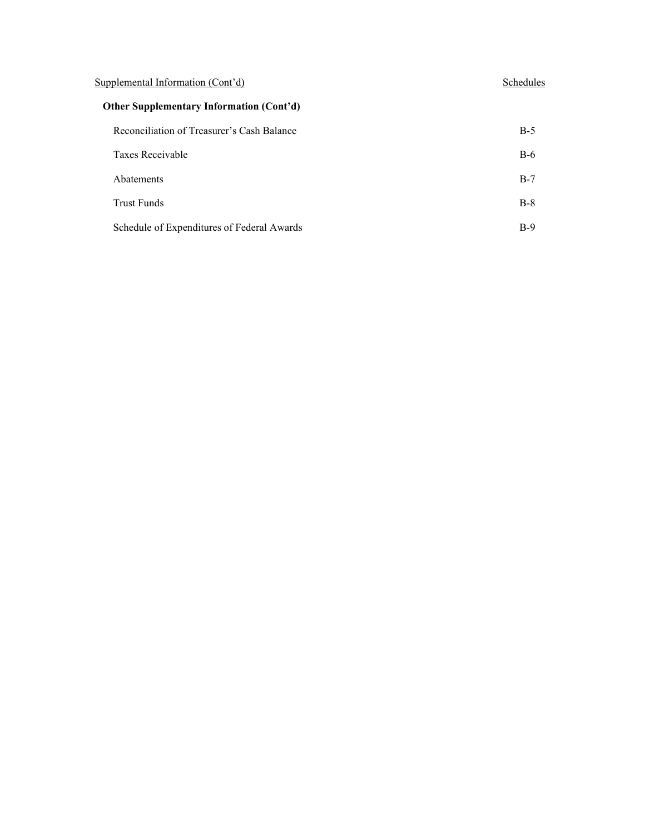# **Other Supplementary Information (Cont'd)**

| Reconciliation of Treasurer's Cash Balance | $B-5$ |
|--------------------------------------------|-------|
| Taxes Receivable                           | $B-6$ |
| Abatements                                 | $B-7$ |
| Trust Funds                                | $B-8$ |
| Schedule of Expenditures of Federal Awards | $B-9$ |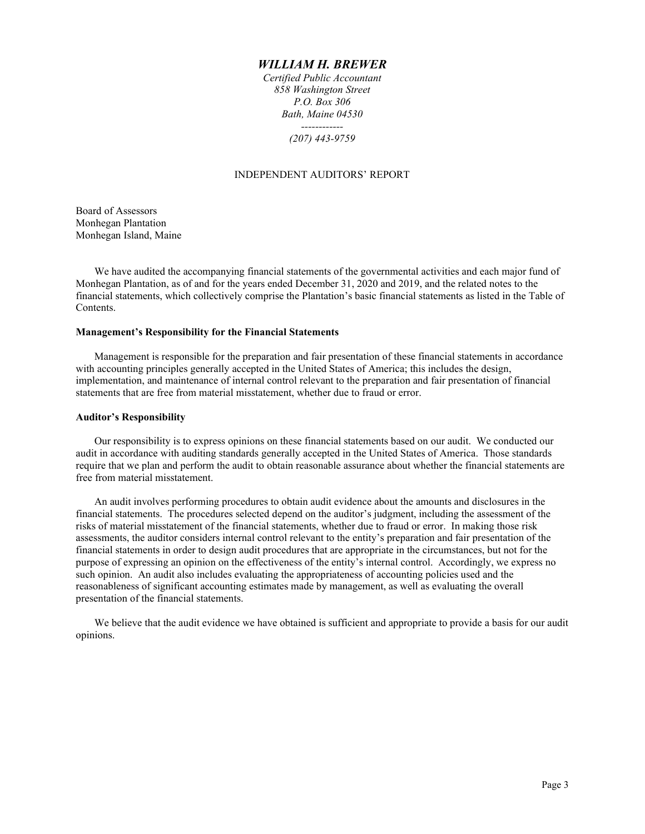# *WILLIAM H. BREWER*

*Certified Public Accountant 858 Washington Street P.O. Box 306 Bath, Maine 04530 ------------ (207) 443-9759*

# INDEPENDENT AUDITORS' REPORT

Board of Assessors Monhegan Plantation Monhegan Island, Maine

 We have audited the accompanying financial statements of the governmental activities and each major fund of Monhegan Plantation, as of and for the years ended December 31, 2020 and 2019, and the related notes to the financial statements, which collectively comprise the Plantation's basic financial statements as listed in the Table of Contents.

#### **Management's Responsibility for the Financial Statements**

 Management is responsible for the preparation and fair presentation of these financial statements in accordance with accounting principles generally accepted in the United States of America; this includes the design, implementation, and maintenance of internal control relevant to the preparation and fair presentation of financial statements that are free from material misstatement, whether due to fraud or error.

#### **Auditor's Responsibility**

 Our responsibility is to express opinions on these financial statements based on our audit. We conducted our audit in accordance with auditing standards generally accepted in the United States of America. Those standards require that we plan and perform the audit to obtain reasonable assurance about whether the financial statements are free from material misstatement.

 An audit involves performing procedures to obtain audit evidence about the amounts and disclosures in the financial statements. The procedures selected depend on the auditor's judgment, including the assessment of the risks of material misstatement of the financial statements, whether due to fraud or error. In making those risk assessments, the auditor considers internal control relevant to the entity's preparation and fair presentation of the financial statements in order to design audit procedures that are appropriate in the circumstances, but not for the purpose of expressing an opinion on the effectiveness of the entity's internal control. Accordingly, we express no such opinion. An audit also includes evaluating the appropriateness of accounting policies used and the reasonableness of significant accounting estimates made by management, as well as evaluating the overall presentation of the financial statements.

We believe that the audit evidence we have obtained is sufficient and appropriate to provide a basis for our audit opinions.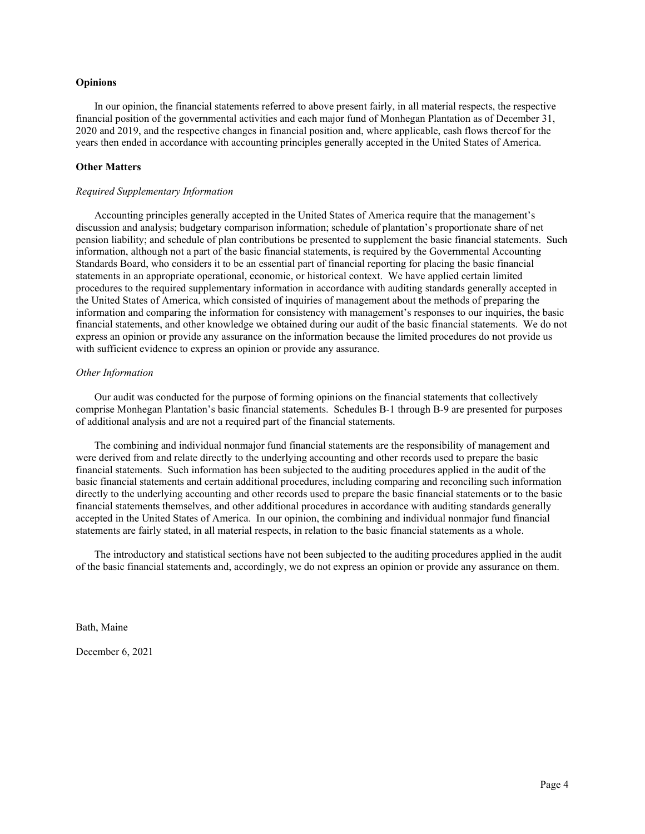#### **Opinions**

 In our opinion, the financial statements referred to above present fairly, in all material respects, the respective financial position of the governmental activities and each major fund of Monhegan Plantation as of December 31, 2020 and 2019, and the respective changes in financial position and, where applicable, cash flows thereof for the years then ended in accordance with accounting principles generally accepted in the United States of America.

## **Other Matters**

#### *Required Supplementary Information*

 Accounting principles generally accepted in the United States of America require that the management's discussion and analysis; budgetary comparison information; schedule of plantation's proportionate share of net pension liability; and schedule of plan contributions be presented to supplement the basic financial statements. Such information, although not a part of the basic financial statements, is required by the Governmental Accounting Standards Board, who considers it to be an essential part of financial reporting for placing the basic financial statements in an appropriate operational, economic, or historical context. We have applied certain limited procedures to the required supplementary information in accordance with auditing standards generally accepted in the United States of America, which consisted of inquiries of management about the methods of preparing the information and comparing the information for consistency with management's responses to our inquiries, the basic financial statements, and other knowledge we obtained during our audit of the basic financial statements. We do not express an opinion or provide any assurance on the information because the limited procedures do not provide us with sufficient evidence to express an opinion or provide any assurance.

#### *Other Information*

Our audit was conducted for the purpose of forming opinions on the financial statements that collectively comprise Monhegan Plantation's basic financial statements. Schedules B-1 through B-9 are presented for purposes of additional analysis and are not a required part of the financial statements.

 The combining and individual nonmajor fund financial statements are the responsibility of management and were derived from and relate directly to the underlying accounting and other records used to prepare the basic financial statements. Such information has been subjected to the auditing procedures applied in the audit of the basic financial statements and certain additional procedures, including comparing and reconciling such information directly to the underlying accounting and other records used to prepare the basic financial statements or to the basic financial statements themselves, and other additional procedures in accordance with auditing standards generally accepted in the United States of America. In our opinion, the combining and individual nonmajor fund financial statements are fairly stated, in all material respects, in relation to the basic financial statements as a whole.

 The introductory and statistical sections have not been subjected to the auditing procedures applied in the audit of the basic financial statements and, accordingly, we do not express an opinion or provide any assurance on them.

Bath, Maine

December 6, 2021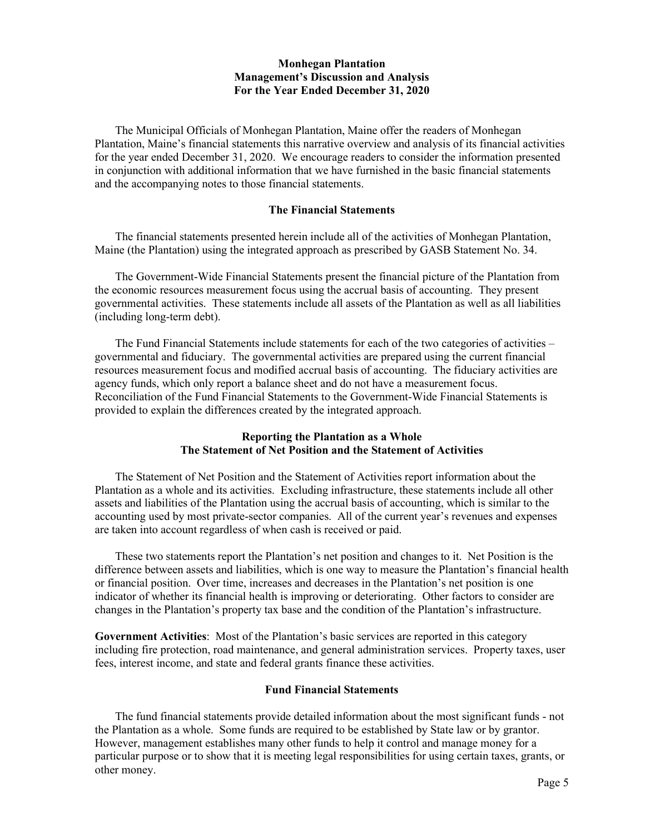# **Monhegan Plantation Management's Discussion and Analysis For the Year Ended December 31, 2020**

 The Municipal Officials of Monhegan Plantation, Maine offer the readers of Monhegan Plantation, Maine's financial statements this narrative overview and analysis of its financial activities for the year ended December 31, 2020. We encourage readers to consider the information presented in conjunction with additional information that we have furnished in the basic financial statements and the accompanying notes to those financial statements.

# **The Financial Statements**

 The financial statements presented herein include all of the activities of Monhegan Plantation, Maine (the Plantation) using the integrated approach as prescribed by GASB Statement No. 34.

 The Government-Wide Financial Statements present the financial picture of the Plantation from the economic resources measurement focus using the accrual basis of accounting. They present governmental activities. These statements include all assets of the Plantation as well as all liabilities (including long-term debt).

 The Fund Financial Statements include statements for each of the two categories of activities – governmental and fiduciary. The governmental activities are prepared using the current financial resources measurement focus and modified accrual basis of accounting. The fiduciary activities are agency funds, which only report a balance sheet and do not have a measurement focus. Reconciliation of the Fund Financial Statements to the Government-Wide Financial Statements is provided to explain the differences created by the integrated approach.

# **Reporting the Plantation as a Whole The Statement of Net Position and the Statement of Activities**

 The Statement of Net Position and the Statement of Activities report information about the Plantation as a whole and its activities. Excluding infrastructure, these statements include all other assets and liabilities of the Plantation using the accrual basis of accounting, which is similar to the accounting used by most private-sector companies. All of the current year's revenues and expenses are taken into account regardless of when cash is received or paid.

 These two statements report the Plantation's net position and changes to it. Net Position is the difference between assets and liabilities, which is one way to measure the Plantation's financial health or financial position. Over time, increases and decreases in the Plantation's net position is one indicator of whether its financial health is improving or deteriorating. Other factors to consider are changes in the Plantation's property tax base and the condition of the Plantation's infrastructure.

**Government Activities**: Most of the Plantation's basic services are reported in this category including fire protection, road maintenance, and general administration services. Property taxes, user fees, interest income, and state and federal grants finance these activities.

# **Fund Financial Statements**

 The fund financial statements provide detailed information about the most significant funds - not the Plantation as a whole. Some funds are required to be established by State law or by grantor. However, management establishes many other funds to help it control and manage money for a particular purpose or to show that it is meeting legal responsibilities for using certain taxes, grants, or other money.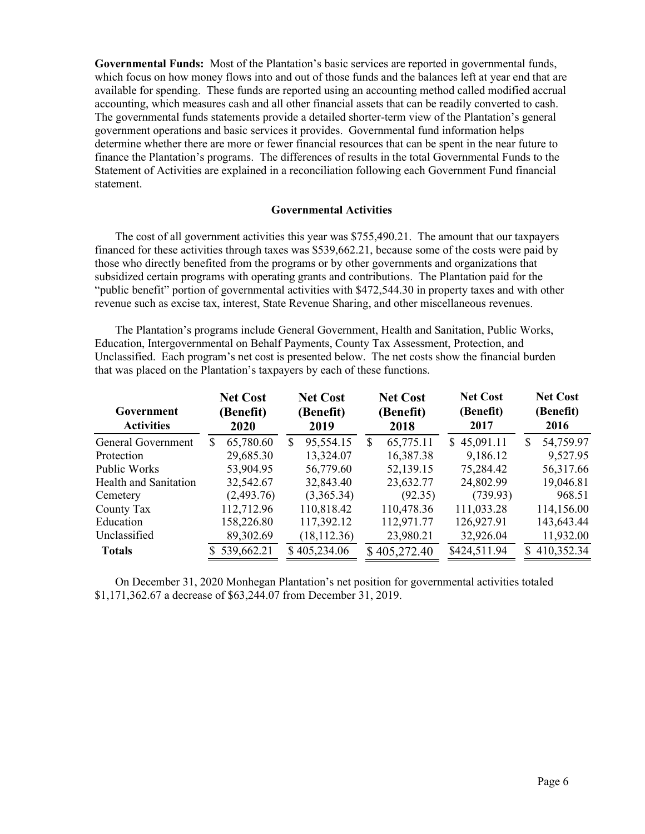**Governmental Funds:** Most of the Plantation's basic services are reported in governmental funds, which focus on how money flows into and out of those funds and the balances left at year end that are available for spending. These funds are reported using an accounting method called modified accrual accounting, which measures cash and all other financial assets that can be readily converted to cash. The governmental funds statements provide a detailed shorter-term view of the Plantation's general government operations and basic services it provides. Governmental fund information helps determine whether there are more or fewer financial resources that can be spent in the near future to finance the Plantation's programs. The differences of results in the total Governmental Funds to the Statement of Activities are explained in a reconciliation following each Government Fund financial statement.

## **Governmental Activities**

 The cost of all government activities this year was \$755,490.21. The amount that our taxpayers financed for these activities through taxes was \$539,662.21, because some of the costs were paid by those who directly benefited from the programs or by other governments and organizations that subsidized certain programs with operating grants and contributions. The Plantation paid for the "public benefit" portion of governmental activities with \$472,544.30 in property taxes and with other revenue such as excise tax, interest, State Revenue Sharing, and other miscellaneous revenues.

 The Plantation's programs include General Government, Health and Sanitation, Public Works, Education, Intergovernmental on Behalf Payments, County Tax Assessment, Protection, and Unclassified. Each program's net cost is presented below. The net costs show the financial burden that was placed on the Plantation's taxpayers by each of these functions.

| <b>Net Cost</b><br>(Benefit)<br>2020 |     |                                                                                                                                                                    | 2018       |                                              |                                                                                                                                                                | <b>Net Cost</b><br>(Benefit)<br>2016 |
|--------------------------------------|-----|--------------------------------------------------------------------------------------------------------------------------------------------------------------------|------------|----------------------------------------------|----------------------------------------------------------------------------------------------------------------------------------------------------------------|--------------------------------------|
| 65,780.60<br>S.                      | \$. | \$.                                                                                                                                                                | 65,775.11  |                                              | \$.                                                                                                                                                            | 54,759.97                            |
| 29,685.30                            |     |                                                                                                                                                                    | 16,387.38  |                                              |                                                                                                                                                                | 9,527.95                             |
| 53,904.95                            |     |                                                                                                                                                                    | 52,139.15  |                                              |                                                                                                                                                                | 56,317.66                            |
| 32,542.67                            |     |                                                                                                                                                                    | 23,632.77  |                                              |                                                                                                                                                                | 19,046.81                            |
| (2,493.76)                           |     |                                                                                                                                                                    | (92.35)    |                                              |                                                                                                                                                                | 968.51                               |
| 112,712.96                           |     |                                                                                                                                                                    | 110,478.36 |                                              |                                                                                                                                                                | 114,156.00                           |
| 158,226.80                           |     |                                                                                                                                                                    | 112,971.77 |                                              |                                                                                                                                                                | 143,643.44                           |
| 89,302.69                            |     |                                                                                                                                                                    | 23,980.21  |                                              |                                                                                                                                                                | 11,932.00                            |
| 539,662.21                           |     |                                                                                                                                                                    |            |                                              | S.                                                                                                                                                             | 410,352.34                           |
|                                      |     | <b>Net Cost</b><br>(Benefit)<br>2019<br>95,554.15<br>13,324.07<br>56,779.60<br>32,843.40<br>(3,365.34)<br>110,818.42<br>117,392.12<br>(18, 112.36)<br>\$405,234.06 |            | <b>Net Cost</b><br>(Benefit)<br>\$405,272.40 | <b>Net Cost</b><br>(Benefit)<br>2017<br>\$45,091.11<br>9,186.12<br>75,284.42<br>24,802.99<br>(739.93)<br>111,033.28<br>126,927.91<br>32,926.04<br>\$424,511.94 |                                      |

 On December 31, 2020 Monhegan Plantation's net position for governmental activities totaled \$1,171,362.67 a decrease of \$63,244.07 from December 31, 2019.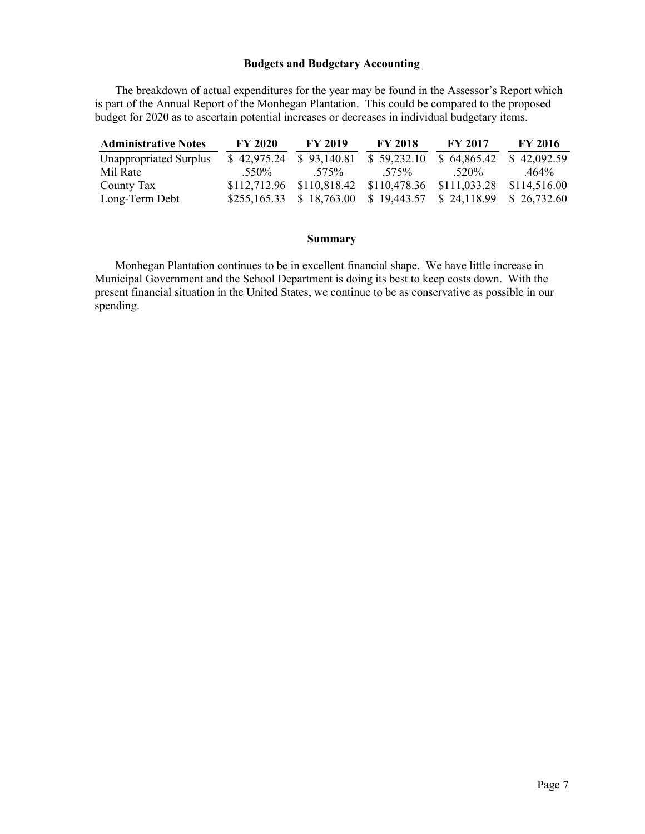# **Budgets and Budgetary Accounting**

 The breakdown of actual expenditures for the year may be found in the Assessor's Report which is part of the Annual Report of the Monhegan Plantation. This could be compared to the proposed budget for 2020 as to ascertain potential increases or decreases in individual budgetary items.

| <b>Administrative Notes</b> | <b>FY 2020</b> | <b>FY 2019</b>                 | <b>FY 2018</b>              | <b>FY 2017</b>                         | <b>FY 2016</b> |
|-----------------------------|----------------|--------------------------------|-----------------------------|----------------------------------------|----------------|
| Unappropriated Surplus      | \$42,975.24    | \$93,140.81                    | \$59,232.10                 | \$64,865.42                            | \$42,092.59    |
| Mil Rate                    | $.550\%$       | $575\%$                        | $575\%$                     | $.520\%$                               | $.464\%$       |
| County Tax                  |                | \$112,712.96 \$110,818.42      | $$110,478.36$ $$111,033.28$ |                                        | \$114,516.00   |
| Long-Term Debt              |                | $$255,165.33 \quad $18,763.00$ |                             | $$19,443.57$ $$24,118.99$ $$26,732.60$ |                |

# **Summary**

 Monhegan Plantation continues to be in excellent financial shape. We have little increase in Municipal Government and the School Department is doing its best to keep costs down. With the present financial situation in the United States, we continue to be as conservative as possible in our spending.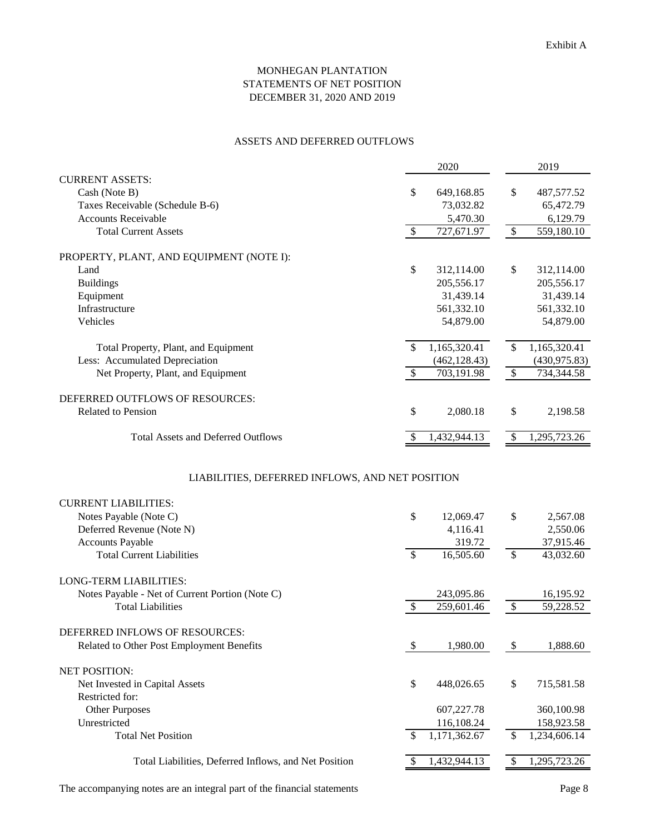# MONHEGAN PLANTATION STATEMENTS OF NET POSITION DECEMBER 31, 2020 AND 2019

# ASSETS AND DEFERRED OUTFLOWS

|                                                       |                | 2020                      |                           | 2019                     |
|-------------------------------------------------------|----------------|---------------------------|---------------------------|--------------------------|
| <b>CURRENT ASSETS:</b>                                |                |                           |                           |                          |
| Cash (Note B)                                         | \$             | 649,168.85                | \$                        | 487,577.52               |
| Taxes Receivable (Schedule B-6)                       |                | 73,032.82                 |                           | 65,472.79                |
| <b>Accounts Receivable</b>                            |                | 5,470.30                  |                           | 6,129.79                 |
| <b>Total Current Assets</b>                           | $\mathfrak{F}$ | 727,671.97                | $\mathbb{S}$              | 559,180.10               |
| PROPERTY, PLANT, AND EQUIPMENT (NOTE I):              |                |                           |                           |                          |
|                                                       | \$             |                           | \$                        |                          |
| Land<br><b>Buildings</b>                              |                | 312,114.00<br>205,556.17  |                           | 312,114.00<br>205,556.17 |
| Equipment                                             |                | 31,439.14                 |                           | 31,439.14                |
| Infrastructure                                        |                |                           |                           |                          |
| Vehicles                                              |                | 561,332.10<br>54,879.00   |                           | 561,332.10<br>54,879.00  |
|                                                       |                |                           |                           |                          |
| Total Property, Plant, and Equipment                  | <sup>\$</sup>  | $1,\overline{165,320.41}$ | \$                        | 1,165,320.41             |
| Less: Accumulated Depreciation                        |                | (462, 128.43)             |                           | (430, 975.83)            |
| Net Property, Plant, and Equipment                    | \$             | 703,191.98                | $\$\,$                    | 734,344.58               |
| DEFERRED OUTFLOWS OF RESOURCES:                       |                |                           |                           |                          |
|                                                       |                |                           |                           |                          |
| Related to Pension                                    | \$             | 2,080.18                  | \$                        | 2,198.58                 |
| <b>Total Assets and Deferred Outflows</b>             | \$             | 1,432,944.13              | \$                        | 1,295,723.26             |
| LIABILITIES, DEFERRED INFLOWS, AND NET POSITION       |                |                           |                           |                          |
| <b>CURRENT LIABILITIES:</b>                           |                |                           |                           |                          |
| Notes Payable (Note C)                                | \$             | 12,069.47                 | \$                        | 2,567.08                 |
| Deferred Revenue (Note N)                             |                | 4,116.41                  |                           | 2,550.06                 |
| <b>Accounts Payable</b>                               |                | 319.72                    |                           | 37,915.46                |
| <b>Total Current Liabilities</b>                      | $\mathcal{S}$  | 16,505.60                 | $\mathcal{S}$             | 43,032.60                |
| LONG-TERM LIABILITIES:                                |                |                           |                           |                          |
| Notes Payable - Net of Current Portion (Note C)       |                | 243,095.86                |                           | 16,195.92                |
| <b>Total Liabilities</b>                              | \$             | 259,601.46                | $\overline{\mathcal{S}}$  | 59,228.52                |
|                                                       |                |                           |                           |                          |
| DEFERRED INFLOWS OF RESOURCES:                        |                |                           |                           |                          |
| Related to Other Post Employment Benefits             | \$             | 1,980.00                  | $\boldsymbol{\mathsf{S}}$ | 1,888.60                 |
| NET POSITION:                                         |                |                           |                           |                          |
| Net Invested in Capital Assets                        | \$             | 448,026.65                | \$                        | 715,581.58               |
| Restricted for:                                       |                |                           |                           |                          |
| Other Purposes                                        |                | 607,227.78                |                           | 360,100.98               |
| Unrestricted                                          |                | 116,108.24                |                           | 158,923.58               |
| <b>Total Net Position</b>                             | S              | 1,171,362.67              | \$                        | 1,234,606.14             |
| Total Liabilities, Deferred Inflows, and Net Position | \$             | 1,432,944.13              | \$                        | 1,295,723.26             |
|                                                       |                |                           |                           |                          |

The accompanying notes are an integral part of the financial statements Page 8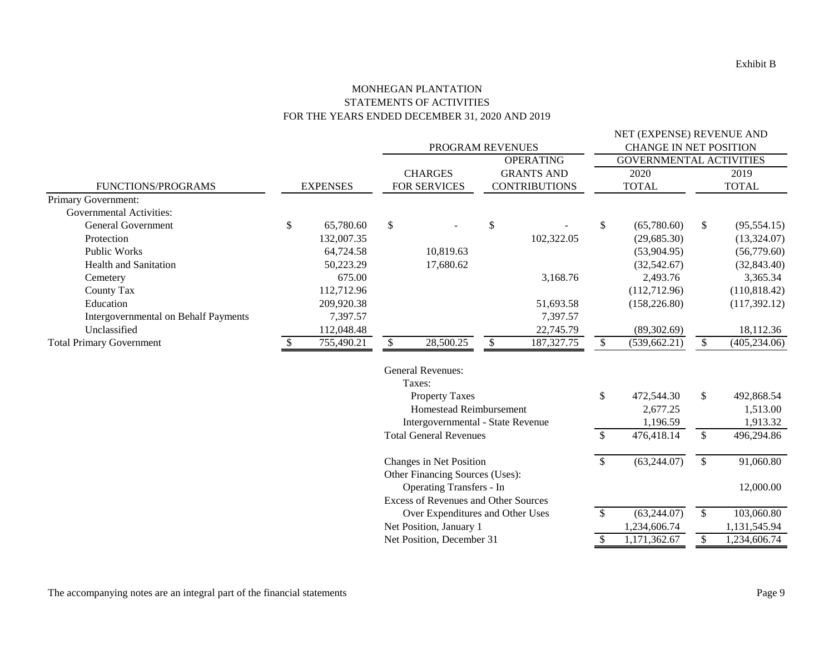# MONHEGAN PLANTATION STATEMENTS OF ACTIVITIES FOR THE YEARS ENDED DECEMBER 31, 2020 AND 2019

|                                      |                 |               |                         |    |                      |                               | NET (EXPENSE) REVENUE AND |              |                                |  |  |
|--------------------------------------|-----------------|---------------|-------------------------|----|----------------------|-------------------------------|---------------------------|--------------|--------------------------------|--|--|
|                                      |                 |               | <b>PROGRAM REVENUES</b> |    |                      | <b>CHANGE IN NET POSITION</b> |                           |              |                                |  |  |
|                                      |                 |               |                         |    | <b>OPERATING</b>     |                               |                           |              | <b>GOVERNMENTAL ACTIVITIES</b> |  |  |
|                                      |                 |               | <b>CHARGES</b>          |    | <b>GRANTS AND</b>    |                               | 2020                      |              | 2019                           |  |  |
| <b>FUNCTIONS/PROGRAMS</b>            | <b>EXPENSES</b> |               | <b>FOR SERVICES</b>     |    | <b>CONTRIBUTIONS</b> |                               | TOTAL                     |              | <b>TOTAL</b>                   |  |  |
| Primary Government:                  |                 |               |                         |    |                      |                               |                           |              |                                |  |  |
| <b>Governmental Activities:</b>      |                 |               |                         |    |                      |                               |                           |              |                                |  |  |
| <b>General Government</b>            | \$<br>65,780.60 | <sup>\$</sup> |                         | \$ |                      | \$                            | (65,780.60)               | $\mathbb{S}$ | (95, 554.15)                   |  |  |
| Protection                           | 132,007.35      |               |                         |    | 102,322.05           |                               | (29,685.30)               |              | (13,324.07)                    |  |  |
| Public Works                         | 64.724.58       |               | 10,819.63               |    |                      |                               | (53,904.95)               |              | (56,779.60)                    |  |  |
| <b>Health and Sanitation</b>         | 50,223.29       |               | 17,680.62               |    |                      |                               | (32,542.67)               |              | (32, 843.40)                   |  |  |
| Cemetery                             | 675.00          |               |                         |    | 3,168.76             |                               | 2,493.76                  |              | 3,365.34                       |  |  |
| County Tax                           | 112,712.96      |               |                         |    |                      |                               | (112,712.96)              |              | (110, 818.42)                  |  |  |
| Education                            | 209,920.38      |               |                         |    | 51,693.58            |                               | (158, 226.80)             |              | (117,392.12)                   |  |  |
| Intergovernmental on Behalf Payments | 7,397.57        |               |                         |    | 7,397.57             |                               |                           |              |                                |  |  |
| Unclassified                         | 112,048.48      |               |                         |    | 22,745.79            |                               | (89,302.69)               |              | 18,112.36                      |  |  |
| <b>Total Primary Government</b>      | 755,490.21      |               | 28,500.25               |    | 187, 327. 75         |                               | (539, 662.21)             |              | (405, 234.06)                  |  |  |

General Revenues:

| Taxes:                               |               |              |               |              |
|--------------------------------------|---------------|--------------|---------------|--------------|
| <b>Property Taxes</b>                | \$            | 472,544.30   | S             | 492,868.54   |
| Homestead Reimbursement              |               | 2,677.25     |               | 1,513.00     |
| Intergovernmental - State Revenue    |               | 1,196.59     |               | 1,913.32     |
| <b>Total General Revenues</b>        | <sup>\$</sup> | 476,418.14   | <sup>\$</sup> | 496,294.86   |
| Changes in Net Position              | \$            | (63, 244.07) | \$            | 91,060.80    |
| Other Financing Sources (Uses):      |               |              |               |              |
| <b>Operating Transfers - In</b>      |               |              |               | 12,000.00    |
| Excess of Revenues and Other Sources |               |              |               |              |
| Over Expenditures and Other Uses     | $\mathcal{S}$ | (63, 244.07) | \$.           | 103,060.80   |
| Net Position, January 1              |               | 1,234,606.74 |               | 1,131,545.94 |
| Net Position, December 31            |               | 1.171.362.67 |               | 1.234.606.74 |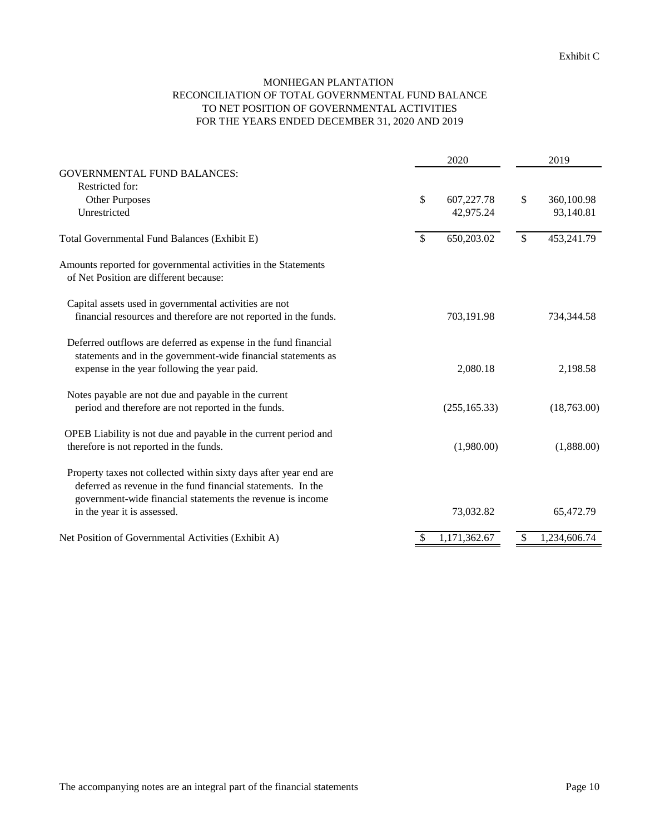# MONHEGAN PLANTATION RECONCILIATION OF TOTAL GOVERNMENTAL FUND BALANCE TO NET POSITION OF GOVERNMENTAL ACTIVITIES FOR THE YEARS ENDED DECEMBER 31, 2020 AND 2019

|                                                                                                                                                                                                 | 2020             |    | 2019         |
|-------------------------------------------------------------------------------------------------------------------------------------------------------------------------------------------------|------------------|----|--------------|
| <b>GOVERNMENTAL FUND BALANCES:</b>                                                                                                                                                              |                  |    |              |
| Restricted for:                                                                                                                                                                                 |                  |    |              |
| Other Purposes                                                                                                                                                                                  | \$<br>607,227.78 | \$ | 360,100.98   |
| Unrestricted                                                                                                                                                                                    | 42,975.24        |    | 93,140.81    |
| Total Governmental Fund Balances (Exhibit E)                                                                                                                                                    | \$<br>650,203.02 | \$ | 453,241.79   |
| Amounts reported for governmental activities in the Statements<br>of Net Position are different because:                                                                                        |                  |    |              |
| Capital assets used in governmental activities are not<br>financial resources and therefore are not reported in the funds.                                                                      | 703,191.98       |    | 734,344.58   |
| Deferred outflows are deferred as expense in the fund financial<br>statements and in the government-wide financial statements as<br>expense in the year following the year paid.                | 2,080.18         |    | 2,198.58     |
| Notes payable are not due and payable in the current<br>period and therefore are not reported in the funds.                                                                                     | (255, 165.33)    |    | (18,763.00)  |
| OPEB Liability is not due and payable in the current period and<br>therefore is not reported in the funds.                                                                                      | (1,980.00)       |    | (1,888.00)   |
| Property taxes not collected within sixty days after year end are<br>deferred as revenue in the fund financial statements. In the<br>government-wide financial statements the revenue is income | 73,032.82        |    | 65,472.79    |
| in the year it is assessed.                                                                                                                                                                     |                  |    |              |
| Net Position of Governmental Activities (Exhibit A)                                                                                                                                             | 1,171,362.67     | S  | 1,234,606.74 |
|                                                                                                                                                                                                 |                  |    |              |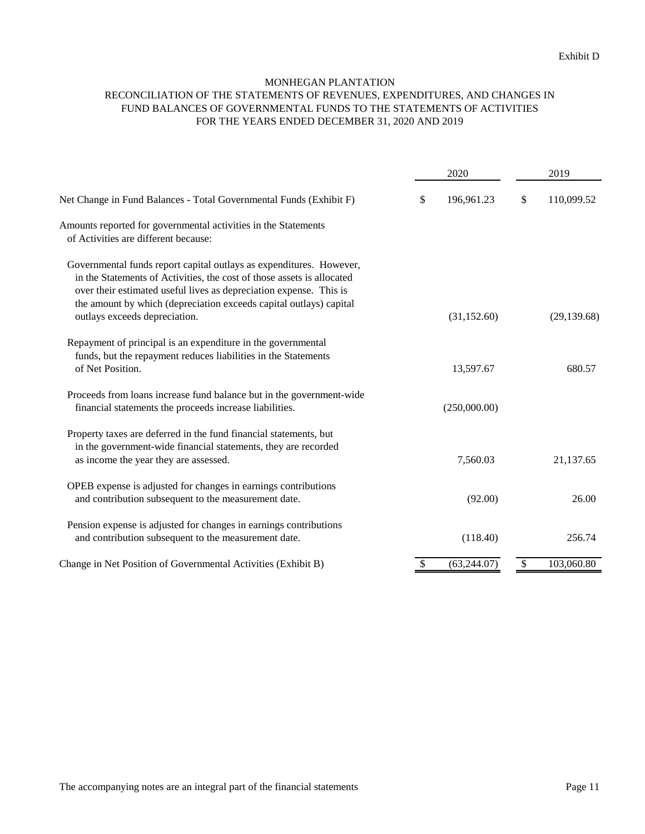# FOR THE YEARS ENDED DECEMBER 31, 2020 AND 2019 FUND BALANCES OF GOVERNMENTAL FUNDS TO THE STATEMENTS OF ACTIVITIES RECONCILIATION OF THE STATEMENTS OF REVENUES, EXPENDITURES, AND CHANGES IN MONHEGAN PLANTATION

|                                                                                                                                                                                                                                                                                                                            |    | 2020         |                           | 2019         |
|----------------------------------------------------------------------------------------------------------------------------------------------------------------------------------------------------------------------------------------------------------------------------------------------------------------------------|----|--------------|---------------------------|--------------|
| Net Change in Fund Balances - Total Governmental Funds (Exhibit F)                                                                                                                                                                                                                                                         | \$ | 196,961.23   | $\boldsymbol{\mathsf{S}}$ | 110,099.52   |
| Amounts reported for governmental activities in the Statements<br>of Activities are different because:                                                                                                                                                                                                                     |    |              |                           |              |
| Governmental funds report capital outlays as expenditures. However,<br>in the Statements of Activities, the cost of those assets is allocated<br>over their estimated useful lives as depreciation expense. This is<br>the amount by which (depreciation exceeds capital outlays) capital<br>outlays exceeds depreciation. |    | (31, 152.60) |                           | (29, 139.68) |
| Repayment of principal is an expenditure in the governmental<br>funds, but the repayment reduces liabilities in the Statements<br>of Net Position.                                                                                                                                                                         |    | 13,597.67    |                           | 680.57       |
| Proceeds from loans increase fund balance but in the government-wide<br>financial statements the proceeds increase liabilities.                                                                                                                                                                                            |    | (250,000.00) |                           |              |
| Property taxes are deferred in the fund financial statements, but<br>in the government-wide financial statements, they are recorded<br>as income the year they are assessed.                                                                                                                                               |    | 7,560.03     |                           | 21,137.65    |
| OPEB expense is adjusted for changes in earnings contributions<br>and contribution subsequent to the measurement date.                                                                                                                                                                                                     |    | (92.00)      |                           | 26.00        |
| Pension expense is adjusted for changes in earnings contributions<br>and contribution subsequent to the measurement date.                                                                                                                                                                                                  |    | (118.40)     |                           | 256.74       |
| Change in Net Position of Governmental Activities (Exhibit B)                                                                                                                                                                                                                                                              | S  | (63, 244.07) | \$                        | 103,060.80   |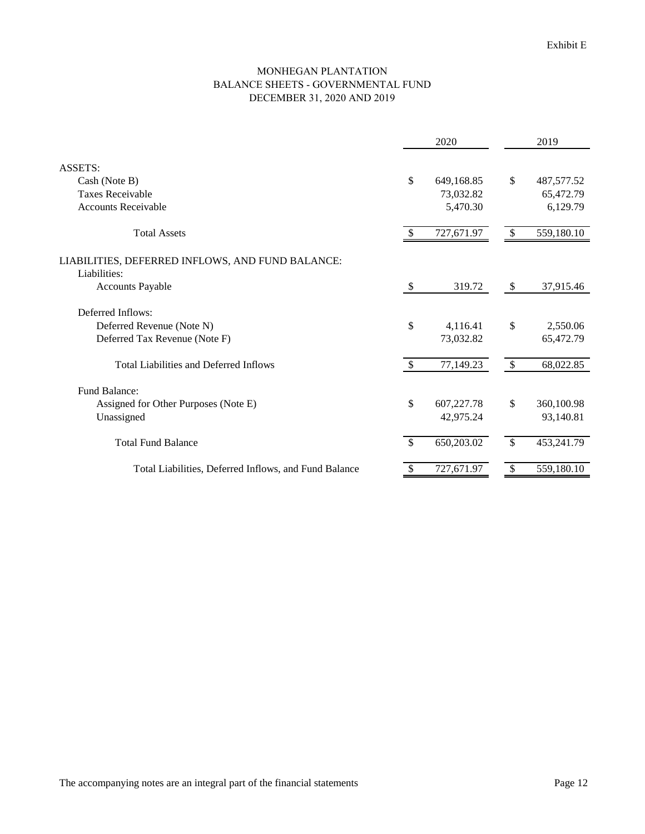# MONHEGAN PLANTATION BALANCE SHEETS - GOVERNMENTAL FUND DECEMBER 31, 2020 AND 2019

|                                                       |               | 2020       |               | 2019       |
|-------------------------------------------------------|---------------|------------|---------------|------------|
| <b>ASSETS:</b>                                        |               |            |               |            |
| Cash (Note B)                                         | $\mathbb{S}$  | 649,168.85 | \$            | 487,577.52 |
| <b>Taxes Receivable</b>                               |               | 73,032.82  |               | 65,472.79  |
| <b>Accounts Receivable</b>                            |               | 5,470.30   |               | 6,129.79   |
| <b>Total Assets</b>                                   |               | 727,671.97 | \$            | 559,180.10 |
| LIABILITIES, DEFERRED INFLOWS, AND FUND BALANCE:      |               |            |               |            |
| Liabilities:                                          |               |            |               |            |
| <b>Accounts Payable</b>                               | $\mathbb{S}$  | 319.72     | \$            | 37,915.46  |
| Deferred Inflows:                                     |               |            |               |            |
| Deferred Revenue (Note N)                             | \$            | 4,116.41   | $\mathbb{S}$  | 2,550.06   |
| Deferred Tax Revenue (Note F)                         |               | 73,032.82  |               | 65,472.79  |
| <b>Total Liabilities and Deferred Inflows</b>         | <sup>\$</sup> | 77,149.23  | $\mathbb{S}$  | 68,022.85  |
| Fund Balance:                                         |               |            |               |            |
| Assigned for Other Purposes (Note E)                  | \$            | 607,227.78 | \$            | 360,100.98 |
| Unassigned                                            |               | 42,975.24  |               | 93,140.81  |
| <b>Total Fund Balance</b>                             | $\mathbb{S}$  | 650,203.02 | $\mathcal{S}$ | 453,241.79 |
| Total Liabilities, Deferred Inflows, and Fund Balance | \$            | 727,671.97 | \$            | 559,180.10 |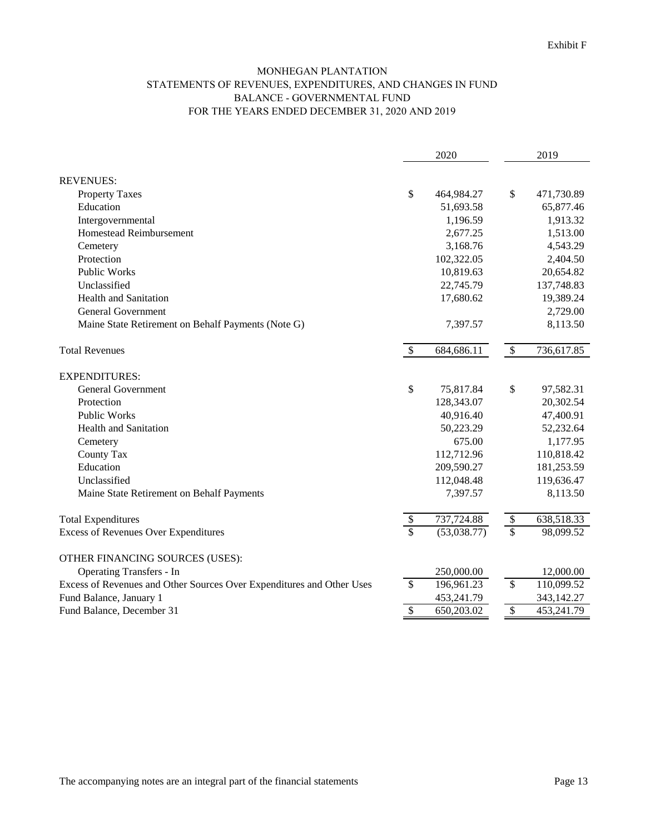# MONHEGAN PLANTATION STATEMENTS OF REVENUES, EXPENDITURES, AND CHANGES IN FUND BALANCE - GOVERNMENTAL FUND FOR THE YEARS ENDED DECEMBER 31, 2020 AND 2019

|                                                                       |                           | 2020        |                          | 2019       |
|-----------------------------------------------------------------------|---------------------------|-------------|--------------------------|------------|
|                                                                       |                           |             |                          |            |
| <b>REVENUES:</b>                                                      |                           |             |                          |            |
| <b>Property Taxes</b>                                                 | \$                        | 464,984.27  | \$                       | 471,730.89 |
| Education                                                             |                           | 51,693.58   |                          | 65,877.46  |
| Intergovernmental                                                     |                           | 1,196.59    |                          | 1,913.32   |
| Homestead Reimbursement                                               |                           | 2,677.25    |                          | 1,513.00   |
| Cemetery                                                              |                           | 3,168.76    |                          | 4,543.29   |
| Protection                                                            |                           | 102,322.05  |                          | 2,404.50   |
| <b>Public Works</b>                                                   |                           | 10,819.63   |                          | 20,654.82  |
| Unclassified                                                          |                           | 22,745.79   |                          | 137,748.83 |
| <b>Health and Sanitation</b>                                          |                           | 17,680.62   |                          | 19,389.24  |
| <b>General Government</b>                                             |                           |             |                          | 2,729.00   |
| Maine State Retirement on Behalf Payments (Note G)                    |                           | 7,397.57    |                          | 8,113.50   |
| <b>Total Revenues</b>                                                 | $\sqrt[6]{\frac{1}{2}}$   | 684,686.11  | $\mathbb{S}$             | 736,617.85 |
| <b>EXPENDITURES:</b>                                                  |                           |             |                          |            |
| <b>General Government</b>                                             | \$                        | 75,817.84   | \$                       | 97,582.31  |
| Protection                                                            |                           | 128,343.07  |                          | 20,302.54  |
| <b>Public Works</b>                                                   |                           | 40,916.40   |                          | 47,400.91  |
| <b>Health and Sanitation</b>                                          |                           | 50,223.29   |                          | 52,232.64  |
| Cemetery                                                              |                           | 675.00      |                          | 1,177.95   |
| County Tax                                                            |                           | 112,712.96  |                          | 110,818.42 |
| Education                                                             |                           | 209,590.27  |                          | 181,253.59 |
| Unclassified                                                          |                           | 112,048.48  |                          | 119,636.47 |
| Maine State Retirement on Behalf Payments                             |                           | 7,397.57    |                          | 8,113.50   |
| <b>Total Expenditures</b>                                             | $\boldsymbol{\mathsf{S}}$ | 737,724.88  | \$                       | 638,518.33 |
| <b>Excess of Revenues Over Expenditures</b>                           | $\overline{\mathbf{s}}$   | (53,038.77) | $\overline{\mathcal{S}}$ | 98,099.52  |
| OTHER FINANCING SOURCES (USES):                                       |                           |             |                          |            |
| <b>Operating Transfers - In</b>                                       |                           | 250,000.00  |                          | 12,000.00  |
| Excess of Revenues and Other Sources Over Expenditures and Other Uses | $\mathcal{S}$             | 196,961.23  | \$                       | 110,099.52 |
| Fund Balance, January 1                                               |                           | 453,241.79  |                          | 343,142.27 |
| Fund Balance, December 31                                             | \$                        | 650,203.02  | $\$\,$                   | 453,241.79 |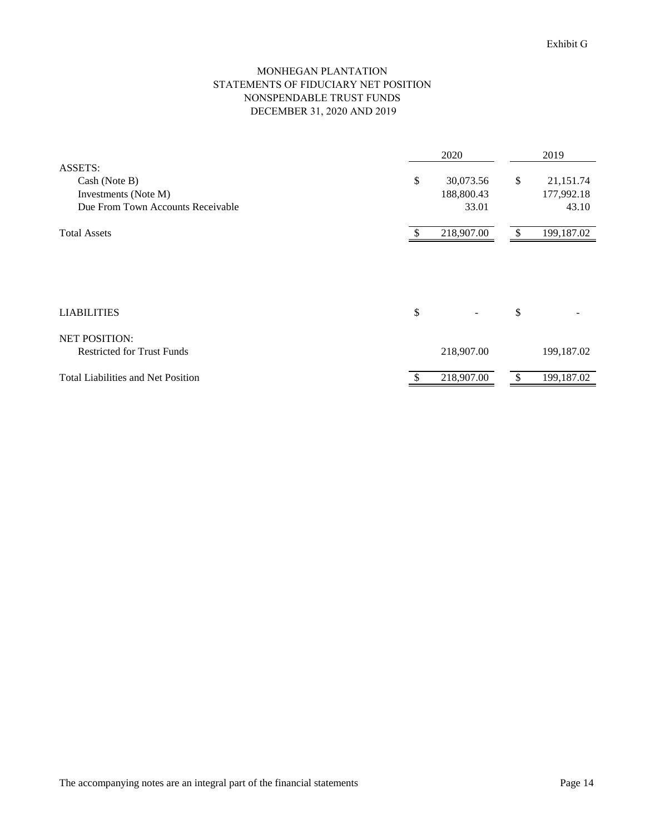# MONHEGAN PLANTATION STATEMENTS OF FIDUCIARY NET POSITION NONSPENDABLE TRUST FUNDS DECEMBER 31, 2020 AND 2019

|                                           | 2020            |               | 2019       |
|-------------------------------------------|-----------------|---------------|------------|
| ASSETS:                                   |                 |               |            |
| Cash (Note B)                             | \$<br>30,073.56 | $\mathcal{S}$ | 21,151.74  |
| Investments (Note M)                      | 188,800.43      |               | 177,992.18 |
| Due From Town Accounts Receivable         | 33.01           |               | 43.10      |
| <b>Total Assets</b>                       | 218,907.00      | -\$           | 199,187.02 |
|                                           |                 |               |            |
|                                           |                 |               |            |
| <b>LIABILITIES</b>                        | \$              | \$            |            |
| <b>NET POSITION:</b>                      |                 |               |            |
| <b>Restricted for Trust Funds</b>         | 218,907.00      |               | 199,187.02 |
| <b>Total Liabilities and Net Position</b> | 218,907.00      |               | 199,187.02 |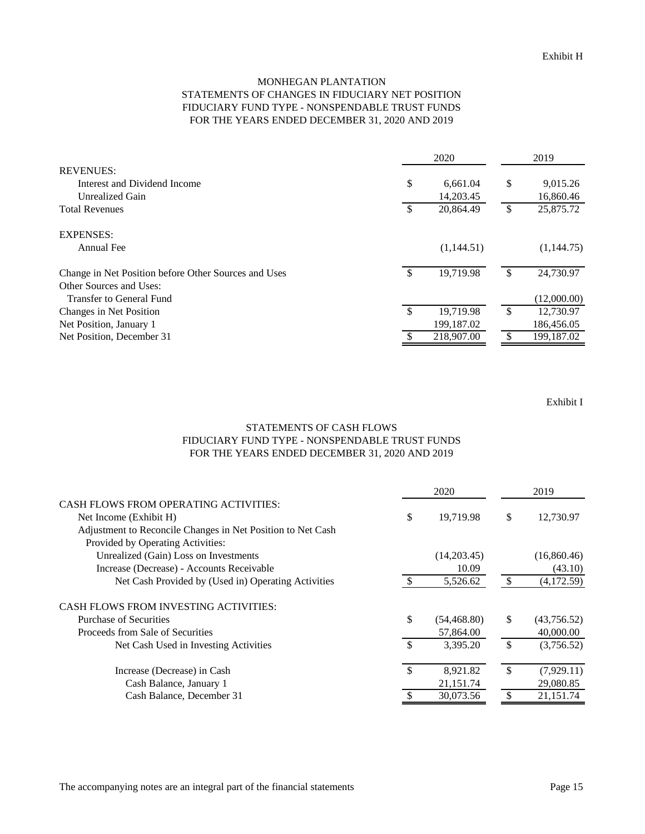# MONHEGAN PLANTATION STATEMENTS OF CHANGES IN FIDUCIARY NET POSITION FIDUCIARY FUND TYPE - NONSPENDABLE TRUST FUNDS FOR THE YEARS ENDED DECEMBER 31, 2020 AND 2019

|                                                      |               | 2020       |     | 2019        |
|------------------------------------------------------|---------------|------------|-----|-------------|
| <b>REVENUES:</b>                                     |               |            |     |             |
| Interest and Dividend Income                         | \$.           | 6,661.04   | \$  | 9,015.26    |
| Unrealized Gain                                      |               | 14,203.45  |     | 16,860.46   |
| <b>Total Revenues</b>                                | $\mathcal{S}$ | 20,864.49  | \$  | 25,875.72   |
| <b>EXPENSES:</b>                                     |               |            |     |             |
| Annual Fee                                           |               | (1,144.51) |     | (1,144.75)  |
| Change in Net Position before Other Sources and Uses | $\mathcal{S}$ | 19,719.98  | \$  | 24,730.97   |
| Other Sources and Uses:                              |               |            |     |             |
| Transfer to General Fund                             |               |            |     | (12,000.00) |
| Changes in Net Position                              | $\mathcal{S}$ | 19,719.98  | \$  | 12,730.97   |
| Net Position, January 1                              |               | 199,187.02 |     | 186,456.05  |
| Net Position, December 31                            |               | 218,907.00 | \$. | 199,187.02  |

Exhibit I

# FOR THE YEARS ENDED DECEMBER 31, 2020 AND 2019 STATEMENTS OF CASH FLOWS FIDUCIARY FUND TYPE - NONSPENDABLE TRUST FUNDS

|                                                             | 2020          |              | 2019          |             |
|-------------------------------------------------------------|---------------|--------------|---------------|-------------|
| CASH FLOWS FROM OPERATING ACTIVITIES:                       |               |              |               |             |
| Net Income (Exhibit H)                                      | \$            | 19.719.98    | <sup>\$</sup> | 12,730.97   |
| Adjustment to Reconcile Changes in Net Position to Net Cash |               |              |               |             |
| Provided by Operating Activities:                           |               |              |               |             |
| Unrealized (Gain) Loss on Investments                       |               | (14,203.45)  |               | (16,860.46) |
| Increase (Decrease) - Accounts Receivable                   |               | 10.09        |               | (43.10)     |
| Net Cash Provided by (Used in) Operating Activities         |               | 5,526.62     |               | (4,172.59)  |
| <b>CASH FLOWS FROM INVESTING ACTIVITIES:</b>                |               |              |               |             |
| Purchase of Securities                                      | \$            | (54, 468.80) | $\mathbb{S}$  | (43,756.52) |
| Proceeds from Sale of Securities                            |               | 57,864.00    |               | 40,000.00   |
| Net Cash Used in Investing Activities                       | <sup>\$</sup> | 3,395.20     | -\$           | (3,756.52)  |
| Increase (Decrease) in Cash                                 | $\mathcal{S}$ | 8,921.82     | -\$           | (7,929.11)  |
| Cash Balance, January 1                                     |               | 21,151.74    |               | 29,080.85   |
| Cash Balance, December 31                                   |               | 30,073.56    |               | 21.151.74   |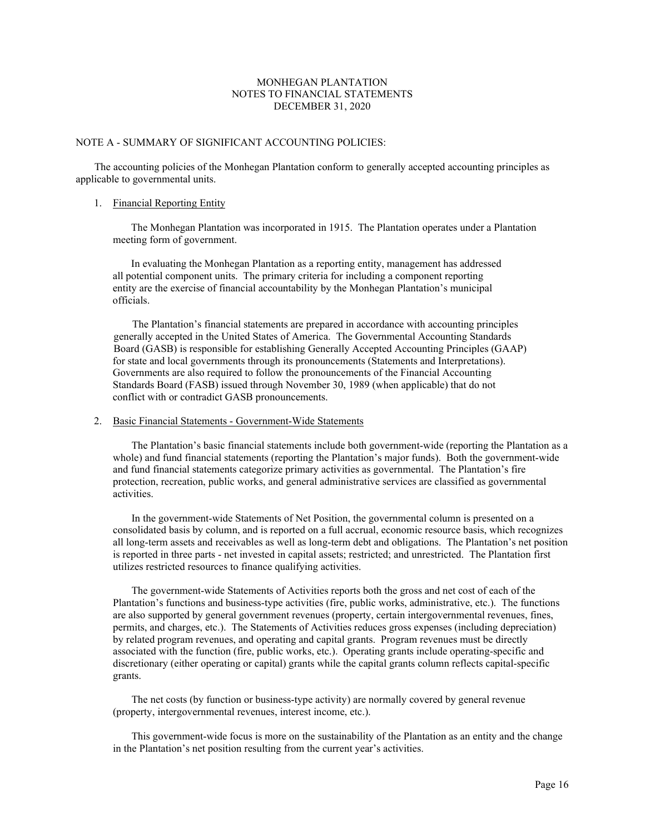#### NOTE A - SUMMARY OF SIGNIFICANT ACCOUNTING POLICIES:

 The accounting policies of the Monhegan Plantation conform to generally accepted accounting principles as applicable to governmental units.

#### 1. Financial Reporting Entity

The Monhegan Plantation was incorporated in 1915. The Plantation operates under a Plantation meeting form of government.

 In evaluating the Monhegan Plantation as a reporting entity, management has addressed all potential component units. The primary criteria for including a component reporting entity are the exercise of financial accountability by the Monhegan Plantation's municipal officials.

 The Plantation's financial statements are prepared in accordance with accounting principles generally accepted in the United States of America. The Governmental Accounting Standards Board (GASB) is responsible for establishing Generally Accepted Accounting Principles (GAAP) for state and local governments through its pronouncements (Statements and Interpretations). Governments are also required to follow the pronouncements of the Financial Accounting Standards Board (FASB) issued through November 30, 1989 (when applicable) that do not conflict with or contradict GASB pronouncements.

#### 2. Basic Financial Statements - Government-Wide Statements

 The Plantation's basic financial statements include both government-wide (reporting the Plantation as a whole) and fund financial statements (reporting the Plantation's major funds). Both the government-wide and fund financial statements categorize primary activities as governmental. The Plantation's fire protection, recreation, public works, and general administrative services are classified as governmental activities.

 In the government-wide Statements of Net Position, the governmental column is presented on a consolidated basis by column, and is reported on a full accrual, economic resource basis, which recognizes all long-term assets and receivables as well as long-term debt and obligations. The Plantation's net position is reported in three parts - net invested in capital assets; restricted; and unrestricted. The Plantation first utilizes restricted resources to finance qualifying activities.

 The government-wide Statements of Activities reports both the gross and net cost of each of the Plantation's functions and business-type activities (fire, public works, administrative, etc.). The functions are also supported by general government revenues (property, certain intergovernmental revenues, fines, permits, and charges, etc.). The Statements of Activities reduces gross expenses (including depreciation) by related program revenues, and operating and capital grants. Program revenues must be directly associated with the function (fire, public works, etc.). Operating grants include operating-specific and discretionary (either operating or capital) grants while the capital grants column reflects capital-specific grants.

 The net costs (by function or business-type activity) are normally covered by general revenue (property, intergovernmental revenues, interest income, etc.).

 This government-wide focus is more on the sustainability of the Plantation as an entity and the change in the Plantation's net position resulting from the current year's activities.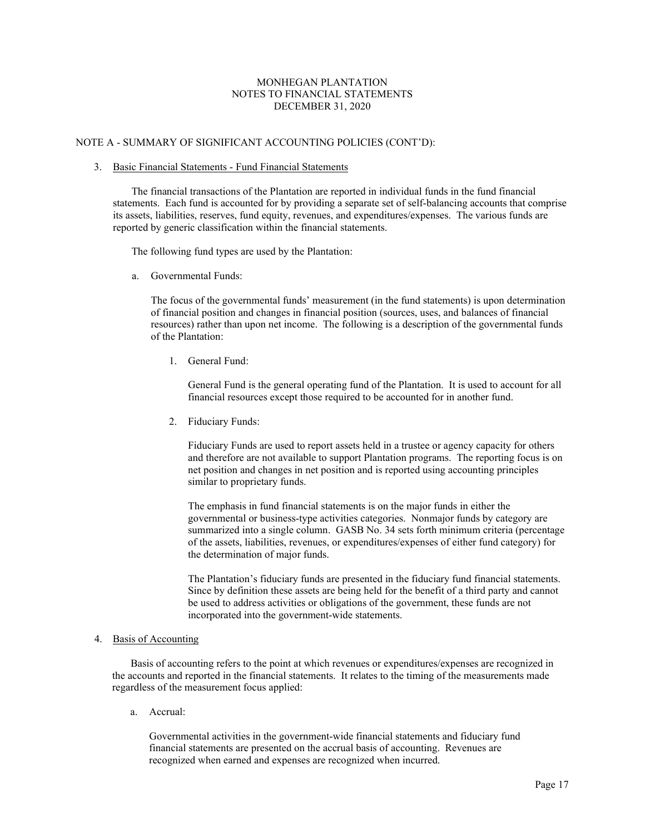# NOTE A - SUMMARY OF SIGNIFICANT ACCOUNTING POLICIES (CONT'D):

#### 3. Basic Financial Statements - Fund Financial Statements

 The financial transactions of the Plantation are reported in individual funds in the fund financial statements. Each fund is accounted for by providing a separate set of self-balancing accounts that comprise its assets, liabilities, reserves, fund equity, revenues, and expenditures/expenses. The various funds are reported by generic classification within the financial statements.

The following fund types are used by the Plantation:

a. Governmental Funds:

The focus of the governmental funds' measurement (in the fund statements) is upon determination of financial position and changes in financial position (sources, uses, and balances of financial resources) rather than upon net income. The following is a description of the governmental funds of the Plantation:

1. General Fund:

General Fund is the general operating fund of the Plantation. It is used to account for all financial resources except those required to be accounted for in another fund.

2. Fiduciary Funds:

Fiduciary Funds are used to report assets held in a trustee or agency capacity for others and therefore are not available to support Plantation programs. The reporting focus is on net position and changes in net position and is reported using accounting principles similar to proprietary funds.

The emphasis in fund financial statements is on the major funds in either the governmental or business-type activities categories. Nonmajor funds by category are summarized into a single column. GASB No. 34 sets forth minimum criteria (percentage of the assets, liabilities, revenues, or expenditures/expenses of either fund category) for the determination of major funds.

The Plantation's fiduciary funds are presented in the fiduciary fund financial statements. Since by definition these assets are being held for the benefit of a third party and cannot be used to address activities or obligations of the government, these funds are not incorporated into the government-wide statements.

#### 4. Basis of Accounting

 Basis of accounting refers to the point at which revenues or expenditures/expenses are recognized in the accounts and reported in the financial statements. It relates to the timing of the measurements made regardless of the measurement focus applied:

a. Accrual:

 Governmental activities in the government-wide financial statements and fiduciary fund financial statements are presented on the accrual basis of accounting. Revenues are recognized when earned and expenses are recognized when incurred.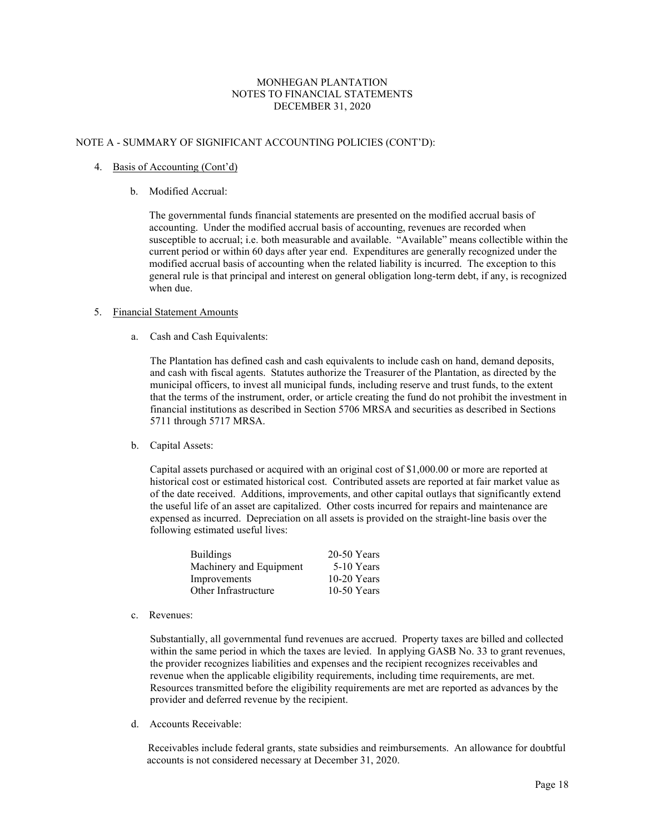# NOTE A - SUMMARY OF SIGNIFICANT ACCOUNTING POLICIES (CONT'D):

#### 4. Basis of Accounting (Cont'd)

b. Modified Accrual:

The governmental funds financial statements are presented on the modified accrual basis of accounting. Under the modified accrual basis of accounting, revenues are recorded when susceptible to accrual; i.e. both measurable and available. "Available" means collectible within the current period or within 60 days after year end. Expenditures are generally recognized under the modified accrual basis of accounting when the related liability is incurred. The exception to this general rule is that principal and interest on general obligation long-term debt, if any, is recognized when due.

# 5. Financial Statement Amounts

a. Cash and Cash Equivalents:

The Plantation has defined cash and cash equivalents to include cash on hand, demand deposits, and cash with fiscal agents. Statutes authorize the Treasurer of the Plantation, as directed by the municipal officers, to invest all municipal funds, including reserve and trust funds, to the extent that the terms of the instrument, order, or article creating the fund do not prohibit the investment in financial institutions as described in Section 5706 MRSA and securities as described in Sections 5711 through 5717 MRSA.

b. Capital Assets:

Capital assets purchased or acquired with an original cost of \$1,000.00 or more are reported at historical cost or estimated historical cost. Contributed assets are reported at fair market value as of the date received. Additions, improvements, and other capital outlays that significantly extend the useful life of an asset are capitalized. Other costs incurred for repairs and maintenance are expensed as incurred. Depreciation on all assets is provided on the straight-line basis over the following estimated useful lives:

| <b>Buildings</b>        | $20-50$ Years |
|-------------------------|---------------|
| Machinery and Equipment | 5-10 Years    |
| Improvements            | $10-20$ Years |
| Other Infrastructure    | $10-50$ Years |

c. Revenues:

Substantially, all governmental fund revenues are accrued. Property taxes are billed and collected within the same period in which the taxes are levied. In applying GASB No. 33 to grant revenues, the provider recognizes liabilities and expenses and the recipient recognizes receivables and revenue when the applicable eligibility requirements, including time requirements, are met. Resources transmitted before the eligibility requirements are met are reported as advances by the provider and deferred revenue by the recipient.

d. Accounts Receivable:

 Receivables include federal grants, state subsidies and reimbursements. An allowance for doubtful accounts is not considered necessary at December 31, 2020.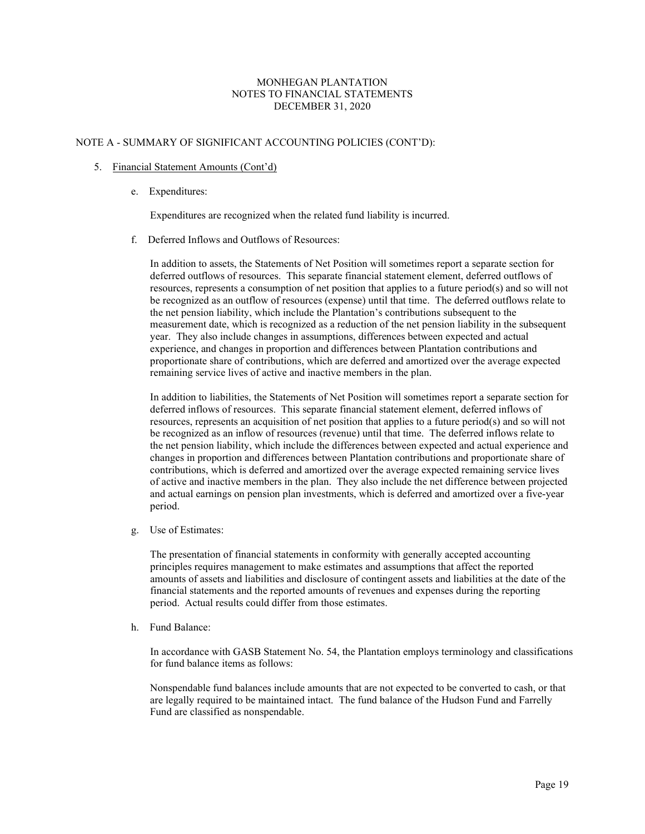# NOTE A - SUMMARY OF SIGNIFICANT ACCOUNTING POLICIES (CONT'D):

## 5. Financial Statement Amounts (Cont'd)

e. Expenditures:

Expenditures are recognized when the related fund liability is incurred.

f. Deferred Inflows and Outflows of Resources:

In addition to assets, the Statements of Net Position will sometimes report a separate section for deferred outflows of resources. This separate financial statement element, deferred outflows of resources, represents a consumption of net position that applies to a future period(s) and so will not be recognized as an outflow of resources (expense) until that time. The deferred outflows relate to the net pension liability, which include the Plantation's contributions subsequent to the measurement date, which is recognized as a reduction of the net pension liability in the subsequent year. They also include changes in assumptions, differences between expected and actual experience, and changes in proportion and differences between Plantation contributions and proportionate share of contributions, which are deferred and amortized over the average expected remaining service lives of active and inactive members in the plan.

In addition to liabilities, the Statements of Net Position will sometimes report a separate section for deferred inflows of resources. This separate financial statement element, deferred inflows of resources, represents an acquisition of net position that applies to a future period(s) and so will not be recognized as an inflow of resources (revenue) until that time. The deferred inflows relate to the net pension liability, which include the differences between expected and actual experience and changes in proportion and differences between Plantation contributions and proportionate share of contributions, which is deferred and amortized over the average expected remaining service lives of active and inactive members in the plan. They also include the net difference between projected and actual earnings on pension plan investments, which is deferred and amortized over a five-year period.

g. Use of Estimates:

The presentation of financial statements in conformity with generally accepted accounting principles requires management to make estimates and assumptions that affect the reported amounts of assets and liabilities and disclosure of contingent assets and liabilities at the date of the financial statements and the reported amounts of revenues and expenses during the reporting period. Actual results could differ from those estimates.

h. Fund Balance:

In accordance with GASB Statement No. 54, the Plantation employs terminology and classifications for fund balance items as follows:

Nonspendable fund balances include amounts that are not expected to be converted to cash, or that are legally required to be maintained intact. The fund balance of the Hudson Fund and Farrelly Fund are classified as nonspendable.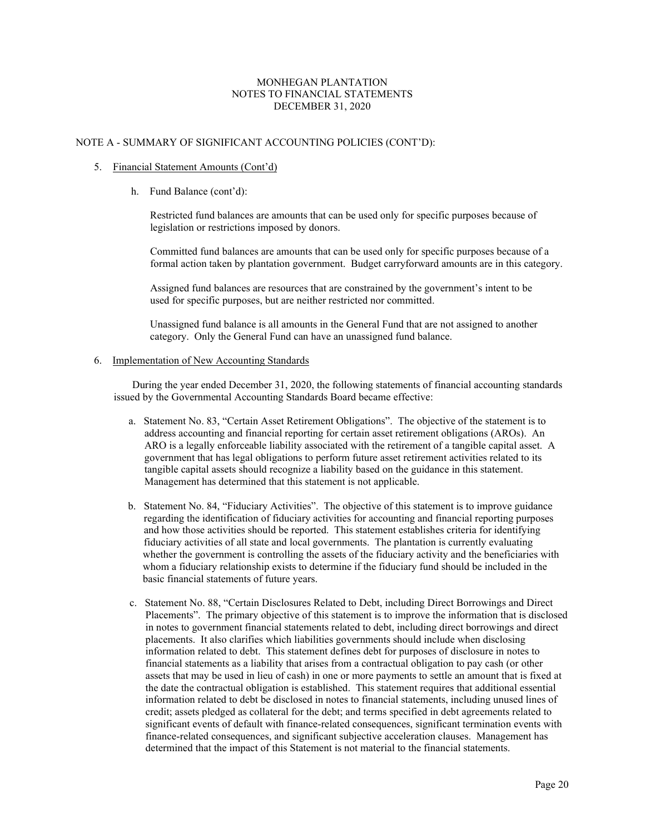# NOTE A - SUMMARY OF SIGNIFICANT ACCOUNTING POLICIES (CONT'D):

## 5. Financial Statement Amounts (Cont'd)

#### h. Fund Balance (cont'd):

 Restricted fund balances are amounts that can be used only for specific purposes because of legislation or restrictions imposed by donors.

Committed fund balances are amounts that can be used only for specific purposes because of a formal action taken by plantation government. Budget carryforward amounts are in this category.

 Assigned fund balances are resources that are constrained by the government's intent to be used for specific purposes, but are neither restricted nor committed.

Unassigned fund balance is all amounts in the General Fund that are not assigned to another category. Only the General Fund can have an unassigned fund balance.

#### 6. Implementation of New Accounting Standards

 During the year ended December 31, 2020, the following statements of financial accounting standards issued by the Governmental Accounting Standards Board became effective:

- a. Statement No. 83, "Certain Asset Retirement Obligations". The objective of the statement is to address accounting and financial reporting for certain asset retirement obligations (AROs). An ARO is a legally enforceable liability associated with the retirement of a tangible capital asset. A government that has legal obligations to perform future asset retirement activities related to its tangible capital assets should recognize a liability based on the guidance in this statement. Management has determined that this statement is not applicable.
- b. Statement No. 84, "Fiduciary Activities". The objective of this statement is to improve guidance regarding the identification of fiduciary activities for accounting and financial reporting purposes and how those activities should be reported. This statement establishes criteria for identifying fiduciary activities of all state and local governments. The plantation is currently evaluating whether the government is controlling the assets of the fiduciary activity and the beneficiaries with whom a fiduciary relationship exists to determine if the fiduciary fund should be included in the basic financial statements of future years.
- c. Statement No. 88, "Certain Disclosures Related to Debt, including Direct Borrowings and Direct Placements". The primary objective of this statement is to improve the information that is disclosed in notes to government financial statements related to debt, including direct borrowings and direct placements. It also clarifies which liabilities governments should include when disclosing information related to debt. This statement defines debt for purposes of disclosure in notes to financial statements as a liability that arises from a contractual obligation to pay cash (or other assets that may be used in lieu of cash) in one or more payments to settle an amount that is fixed at the date the contractual obligation is established. This statement requires that additional essential information related to debt be disclosed in notes to financial statements, including unused lines of credit; assets pledged as collateral for the debt; and terms specified in debt agreements related to significant events of default with finance-related consequences, significant termination events with finance-related consequences, and significant subjective acceleration clauses. Management has determined that the impact of this Statement is not material to the financial statements.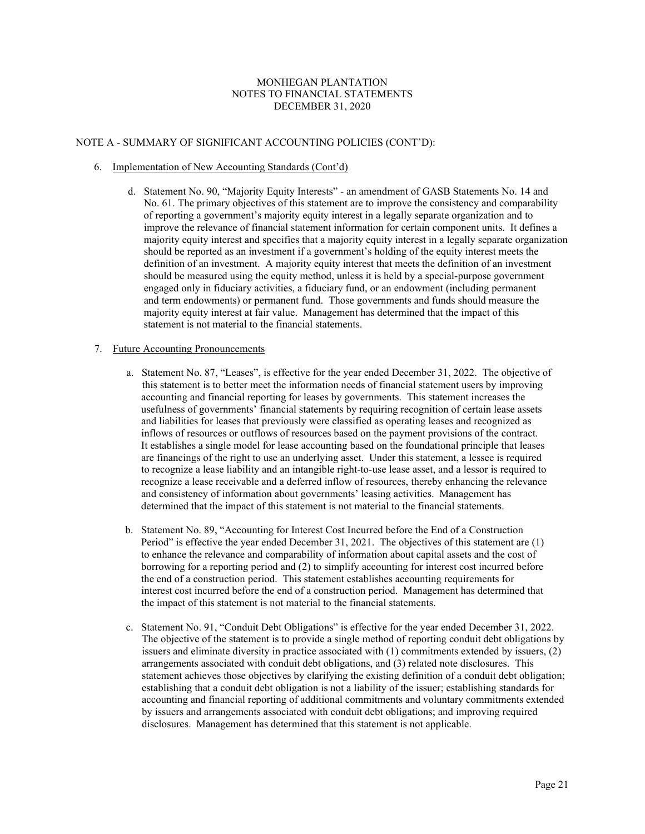# NOTE A - SUMMARY OF SIGNIFICANT ACCOUNTING POLICIES (CONT'D):

## 6. Implementation of New Accounting Standards (Cont'd)

 d. Statement No. 90, "Majority Equity Interests" - an amendment of GASB Statements No. 14 and No. 61. The primary objectives of this statement are to improve the consistency and comparability of reporting a government's majority equity interest in a legally separate organization and to improve the relevance of financial statement information for certain component units. It defines a majority equity interest and specifies that a majority equity interest in a legally separate organization should be reported as an investment if a government's holding of the equity interest meets the definition of an investment. A majority equity interest that meets the definition of an investment should be measured using the equity method, unless it is held by a special-purpose government engaged only in fiduciary activities, a fiduciary fund, or an endowment (including permanent and term endowments) or permanent fund. Those governments and funds should measure the majority equity interest at fair value. Management has determined that the impact of this statement is not material to the financial statements.

#### 7. Future Accounting Pronouncements

- a. Statement No. 87, "Leases", is effective for the year ended December 31, 2022. The objective of this statement is to better meet the information needs of financial statement users by improving accounting and financial reporting for leases by governments. This statement increases the usefulness of governments' financial statements by requiring recognition of certain lease assets and liabilities for leases that previously were classified as operating leases and recognized as inflows of resources or outflows of resources based on the payment provisions of the contract. It establishes a single model for lease accounting based on the foundational principle that leases are financings of the right to use an underlying asset. Under this statement, a lessee is required to recognize a lease liability and an intangible right-to-use lease asset, and a lessor is required to recognize a lease receivable and a deferred inflow of resources, thereby enhancing the relevance and consistency of information about governments' leasing activities. Management has determined that the impact of this statement is not material to the financial statements.
- b. Statement No. 89, "Accounting for Interest Cost Incurred before the End of a Construction Period" is effective the year ended December 31, 2021. The objectives of this statement are (1) to enhance the relevance and comparability of information about capital assets and the cost of borrowing for a reporting period and (2) to simplify accounting for interest cost incurred before the end of a construction period. This statement establishes accounting requirements for interest cost incurred before the end of a construction period. Management has determined that the impact of this statement is not material to the financial statements.
- c. Statement No. 91, "Conduit Debt Obligations" is effective for the year ended December 31, 2022. The objective of the statement is to provide a single method of reporting conduit debt obligations by issuers and eliminate diversity in practice associated with (1) commitments extended by issuers, (2) arrangements associated with conduit debt obligations, and (3) related note disclosures. This statement achieves those objectives by clarifying the existing definition of a conduit debt obligation; establishing that a conduit debt obligation is not a liability of the issuer; establishing standards for accounting and financial reporting of additional commitments and voluntary commitments extended by issuers and arrangements associated with conduit debt obligations; and improving required disclosures. Management has determined that this statement is not applicable.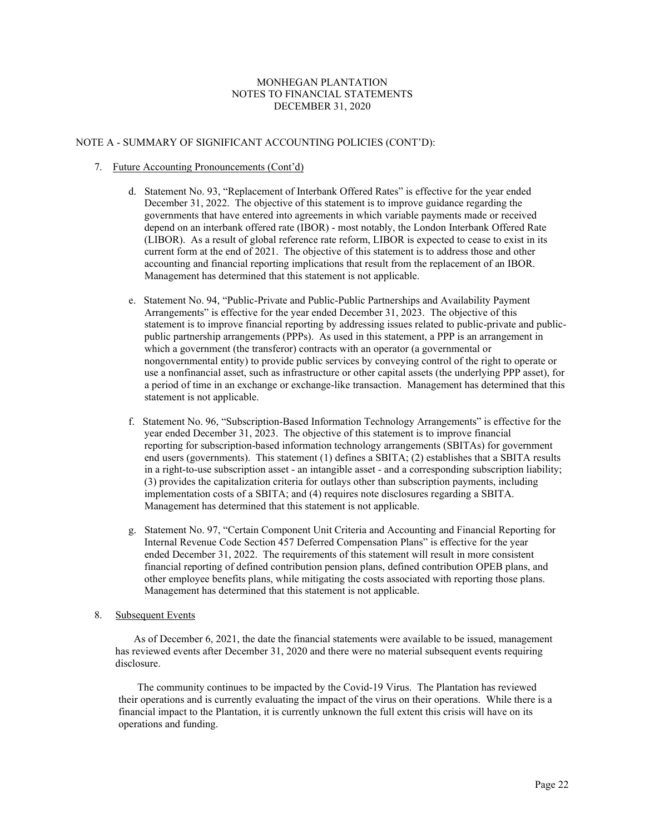# NOTE A - SUMMARY OF SIGNIFICANT ACCOUNTING POLICIES (CONT'D):

#### 7. Future Accounting Pronouncements (Cont'd)

- d. Statement No. 93, "Replacement of Interbank Offered Rates" is effective for the year ended December 31, 2022. The objective of this statement is to improve guidance regarding the governments that have entered into agreements in which variable payments made or received depend on an interbank offered rate (IBOR) - most notably, the London Interbank Offered Rate (LIBOR). As a result of global reference rate reform, LIBOR is expected to cease to exist in its current form at the end of 2021. The objective of this statement is to address those and other accounting and financial reporting implications that result from the replacement of an IBOR. Management has determined that this statement is not applicable.
- e. Statement No. 94, "Public-Private and Public-Public Partnerships and Availability Payment Arrangements" is effective for the year ended December 31, 2023. The objective of this statement is to improve financial reporting by addressing issues related to public-private and public public partnership arrangements (PPPs). As used in this statement, a PPP is an arrangement in which a government (the transferor) contracts with an operator (a governmental or nongovernmental entity) to provide public services by conveying control of the right to operate or use a nonfinancial asset, such as infrastructure or other capital assets (the underlying PPP asset), for a period of time in an exchange or exchange-like transaction. Management has determined that this statement is not applicable.
- f. Statement No. 96, "Subscription-Based Information Technology Arrangements" is effective for the year ended December 31, 2023. The objective of this statement is to improve financial reporting for subscription-based information technology arrangements (SBITAs) for government end users (governments). This statement (1) defines a SBITA; (2) establishes that a SBITA results in a right-to-use subscription asset - an intangible asset - and a corresponding subscription liability; (3) provides the capitalization criteria for outlays other than subscription payments, including implementation costs of a SBITA; and (4) requires note disclosures regarding a SBITA. Management has determined that this statement is not applicable.
- g. Statement No. 97, "Certain Component Unit Criteria and Accounting and Financial Reporting for Internal Revenue Code Section 457 Deferred Compensation Plans" is effective for the year ended December 31, 2022. The requirements of this statement will result in more consistent financial reporting of defined contribution pension plans, defined contribution OPEB plans, and other employee benefits plans, while mitigating the costs associated with reporting those plans. Management has determined that this statement is not applicable.

#### 8. Subsequent Events

 As of December 6, 2021, the date the financial statements were available to be issued, management has reviewed events after December 31, 2020 and there were no material subsequent events requiring disclosure.

 The community continues to be impacted by the Covid-19 Virus. The Plantation has reviewed their operations and is currently evaluating the impact of the virus on their operations. While there is a financial impact to the Plantation, it is currently unknown the full extent this crisis will have on its operations and funding.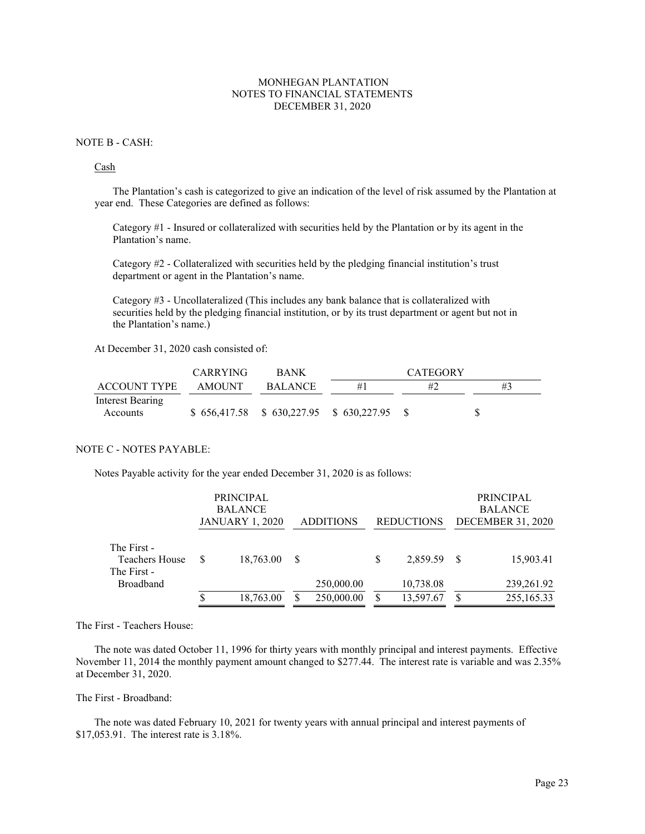#### NOTE B - CASH:

# Cash

 The Plantation's cash is categorized to give an indication of the level of risk assumed by the Plantation at year end. These Categories are defined as follows:

 Category #1 - Insured or collateralized with securities held by the Plantation or by its agent in the Plantation's name.

 Category #2 - Collateralized with securities held by the pledging financial institution's trust department or agent in the Plantation's name.

 Category #3 - Uncollateralized (This includes any bank balance that is collateralized with securities held by the pledging financial institution, or by its trust department or agent but not in the Plantation's name.)

At December 31, 2020 cash consisted of:

|                  | <b>CARRYING</b> | <b>RANK</b>                               |    | <b>CATEGORY</b> |    |
|------------------|-----------------|-------------------------------------------|----|-----------------|----|
| ACCOUNT TYPE     | AMOUNT          | <b>BALANCE</b>                            | #1 | #2              | #3 |
| Interest Bearing |                 |                                           |    |                 |    |
| Accounts         |                 | $$656,417.58$ $$630,227.95$ $$630,227.95$ |    |                 |    |

## NOTE C - NOTES PAYABLE:

Notes Payable activity for the year ended December 31, 2020 is as follows:

|                                      |   | <b>PRINCIPAL</b>                         |   |                  |   |                   |     | <b>PRINCIPAL</b>                           |
|--------------------------------------|---|------------------------------------------|---|------------------|---|-------------------|-----|--------------------------------------------|
|                                      |   | <b>BALANCE</b><br><b>JANUARY 1, 2020</b> |   | <b>ADDITIONS</b> |   | <b>REDUCTIONS</b> |     | <b>BALANCE</b><br><b>DECEMBER 31, 2020</b> |
| The First -<br><b>Teachers House</b> |   | 18,763.00                                | S |                  | S | 2,859.59          | - S | 15,903.41                                  |
| The First -<br><b>Broadband</b>      |   |                                          |   | 250,000.00       |   | 10,738.08         |     | 239,261.92                                 |
|                                      | Φ | 18,763.00                                |   | 250,000.00       |   | 13,597.67         | S   | 255,165.33                                 |

The First - Teachers House:

 The note was dated October 11, 1996 for thirty years with monthly principal and interest payments. Effective November 11, 2014 the monthly payment amount changed to \$277.44. The interest rate is variable and was 2.35% at December 31, 2020.

#### The First - Broadband:

 The note was dated February 10, 2021 for twenty years with annual principal and interest payments of \$17,053.91. The interest rate is 3.18%.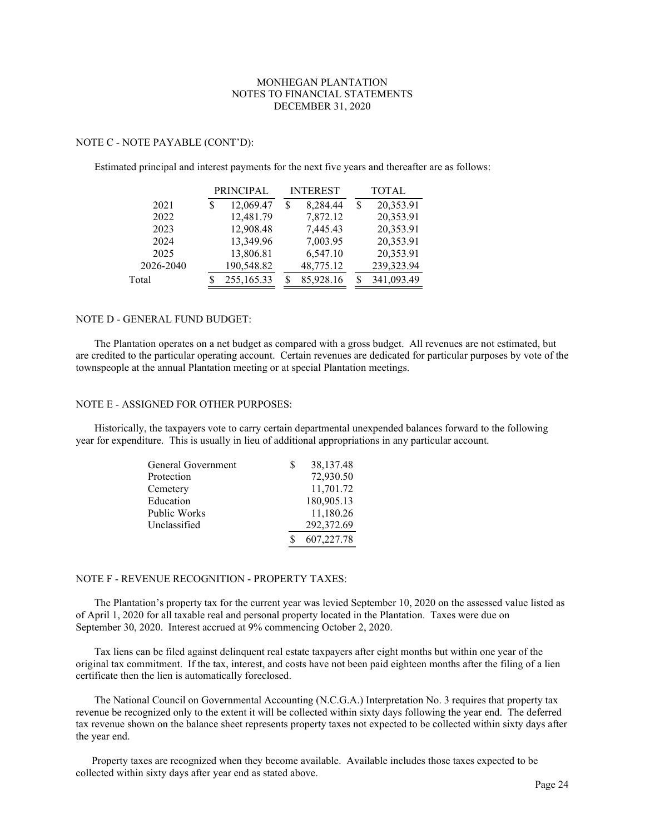#### NOTE C - NOTE PAYABLE (CONT'D):

Estimated principal and interest payments for the next five years and thereafter are as follows:

|           |   | <b>PRINCIPAL</b> |   | <b>INTEREST</b> |     | <b>TOTAL</b> |
|-----------|---|------------------|---|-----------------|-----|--------------|
| 2021      | S | 12,069.47        | S | 8,284.44        | \$. | 20,353.91    |
| 2022      |   | 12,481.79        |   | 7,872.12        |     | 20,353.91    |
| 2023      |   | 12,908.48        |   | 7,445.43        |     | 20,353.91    |
| 2024      |   | 13,349.96        |   | 7,003.95        |     | 20,353.91    |
| 2025      |   | 13,806.81        |   | 6,547.10        |     | 20,353.91    |
| 2026-2040 |   | 190,548.82       |   | 48,775.12       |     | 239,323.94   |
| Total     |   | 255,165.33       |   | 85,928.16       |     | 341,093.49   |

# NOTE D - GENERAL FUND BUDGET:

 The Plantation operates on a net budget as compared with a gross budget. All revenues are not estimated, but are credited to the particular operating account. Certain revenues are dedicated for particular purposes by vote of the townspeople at the annual Plantation meeting or at special Plantation meetings.

#### NOTE E - ASSIGNED FOR OTHER PURPOSES:

 Historically, the taxpayers vote to carry certain departmental unexpended balances forward to the following year for expenditure. This is usually in lieu of additional appropriations in any particular account.

| General Government | S | 38,137.48  |
|--------------------|---|------------|
| Protection         |   | 72,930.50  |
| Cemetery           |   | 11,701.72  |
| Education          |   | 180,905.13 |
| Public Works       |   | 11,180.26  |
| Unclassified       |   | 292,372.69 |
|                    |   | 607,227.78 |

#### NOTE F - REVENUE RECOGNITION - PROPERTY TAXES:

 The Plantation's property tax for the current year was levied September 10, 2020 on the assessed value listed as of April 1, 2020 for all taxable real and personal property located in the Plantation. Taxes were due on September 30, 2020. Interest accrued at 9% commencing October 2, 2020.

 Tax liens can be filed against delinquent real estate taxpayers after eight months but within one year of the original tax commitment. If the tax, interest, and costs have not been paid eighteen months after the filing of a lien certificate then the lien is automatically foreclosed.

 The National Council on Governmental Accounting (N.C.G.A.) Interpretation No. 3 requires that property tax revenue be recognized only to the extent it will be collected within sixty days following the year end. The deferred tax revenue shown on the balance sheet represents property taxes not expected to be collected within sixty days after the year end.

 Property taxes are recognized when they become available. Available includes those taxes expected to be collected within sixty days after year end as stated above.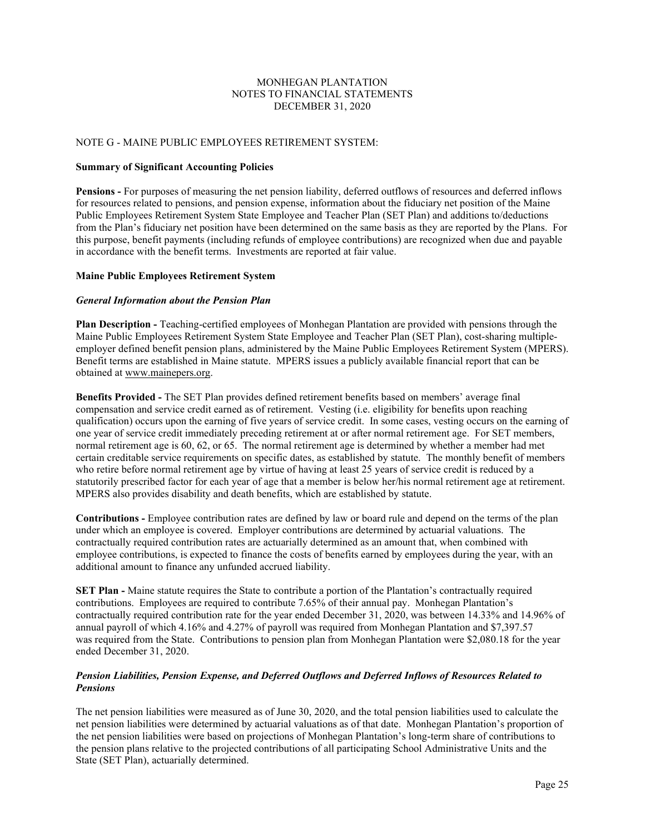# NOTE G - MAINE PUBLIC EMPLOYEES RETIREMENT SYSTEM:

#### **Summary of Significant Accounting Policies**

**Pensions -** For purposes of measuring the net pension liability, deferred outflows of resources and deferred inflows for resources related to pensions, and pension expense, information about the fiduciary net position of the Maine Public Employees Retirement System State Employee and Teacher Plan (SET Plan) and additions to/deductions from the Plan's fiduciary net position have been determined on the same basis as they are reported by the Plans. For this purpose, benefit payments (including refunds of employee contributions) are recognized when due and payable in accordance with the benefit terms. Investments are reported at fair value.

#### **Maine Public Employees Retirement System**

#### *General Information about the Pension Plan*

**Plan Description -** Teaching-certified employees of Monhegan Plantation are provided with pensions through the Maine Public Employees Retirement System State Employee and Teacher Plan (SET Plan), cost-sharing multipleemployer defined benefit pension plans, administered by the Maine Public Employees Retirement System (MPERS). Benefit terms are established in Maine statute. MPERS issues a publicly available financial report that can be obtained a[t www.mainepers.org.](http://www.mainepers.org/)

**Benefits Provided -** The SET Plan provides defined retirement benefits based on members' average final compensation and service credit earned as of retirement. Vesting (i.e. eligibility for benefits upon reaching qualification) occurs upon the earning of five years of service credit. In some cases, vesting occurs on the earning of one year of service credit immediately preceding retirement at or after normal retirement age. For SET members, normal retirement age is 60, 62, or 65. The normal retirement age is determined by whether a member had met certain creditable service requirements on specific dates, as established by statute. The monthly benefit of members who retire before normal retirement age by virtue of having at least 25 years of service credit is reduced by a statutorily prescribed factor for each year of age that a member is below her/his normal retirement age at retirement. MPERS also provides disability and death benefits, which are established by statute.

**Contributions -** Employee contribution rates are defined by law or board rule and depend on the terms of the plan under which an employee is covered. Employer contributions are determined by actuarial valuations. The contractually required contribution rates are actuarially determined as an amount that, when combined with employee contributions, is expected to finance the costs of benefits earned by employees during the year, with an additional amount to finance any unfunded accrued liability.

**SET Plan -** Maine statute requires the State to contribute a portion of the Plantation's contractually required contributions. Employees are required to contribute 7.65% of their annual pay. Monhegan Plantation's contractually required contribution rate for the year ended December 31, 2020, was between 14.33% and 14.96% of annual payroll of which 4.16% and 4.27% of payroll was required from Monhegan Plantation and \$7,397.57 was required from the State. Contributions to pension plan from Monhegan Plantation were \$2,080.18 for the year ended December 31, 2020.

## *Pension Liabilities, Pension Expense, and Deferred Outflows and Deferred Inflows of Resources Related to Pensions*

The net pension liabilities were measured as of June 30, 2020, and the total pension liabilities used to calculate the net pension liabilities were determined by actuarial valuations as of that date. Monhegan Plantation's proportion of the net pension liabilities were based on projections of Monhegan Plantation's long-term share of contributions to the pension plans relative to the projected contributions of all participating School Administrative Units and the State (SET Plan), actuarially determined.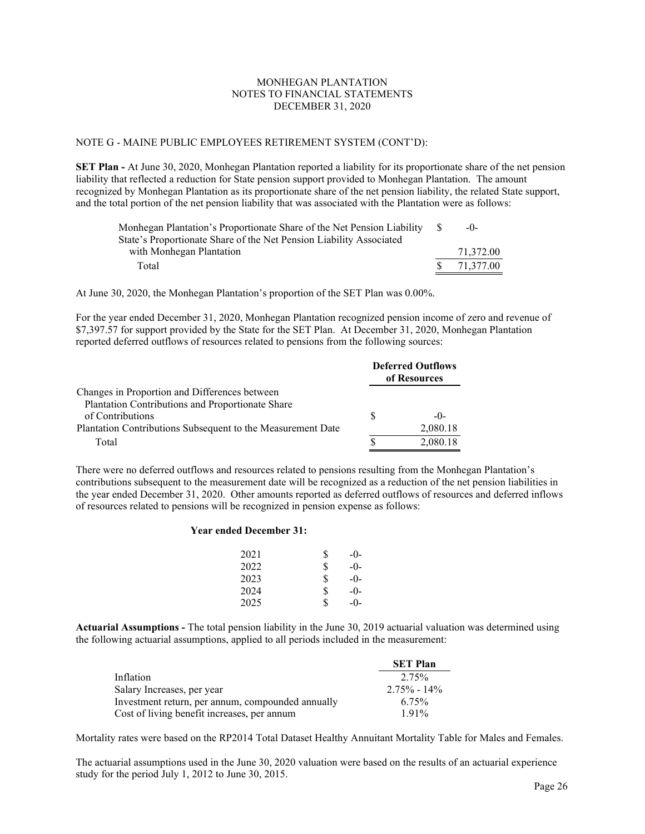## NOTE G - MAINE PUBLIC EMPLOYEES RETIREMENT SYSTEM (CONT'D):

**SET Plan -** At June 30, 2020, Monhegan Plantation reported a liability for its proportionate share of the net pension liability that reflected a reduction for State pension support provided to Monhegan Plantation. The amount recognized by Monhegan Plantation as its proportionate share of the net pension liability, the related State support, and the total portion of the net pension liability that was associated with the Plantation were as follows:

| Monhegan Plantation's Proportionate Share of the Net Pension Liability | $\mathcal{S}$ | $-()$     |
|------------------------------------------------------------------------|---------------|-----------|
| State's Proportionate Share of the Net Pension Liability Associated    |               |           |
| with Monhegan Plantation                                               |               | 71,372.00 |
| Total                                                                  | $\mathcal{L}$ | 71,377.00 |
|                                                                        |               |           |

At June 30, 2020, the Monhegan Plantation's proportion of the SET Plan was 0.00%.

For the year ended December 31, 2020, Monhegan Plantation recognized pension income of zero and revenue of \$7,397.57 for support provided by the State for the SET Plan. At December 31, 2020, Monhegan Plantation reported deferred outflows of resources related to pensions from the following sources:

|                                                             | <b>Deferred Outflows</b><br>of Resources |          |  |
|-------------------------------------------------------------|------------------------------------------|----------|--|
| Changes in Proportion and Differences between               |                                          |          |  |
| Plantation Contributions and Proportionate Share            |                                          |          |  |
| of Contributions                                            |                                          | $-0-$    |  |
| Plantation Contributions Subsequent to the Measurement Date |                                          | 2,080.18 |  |
| Total                                                       |                                          | 2,080.18 |  |

There were no deferred outflows and resources related to pensions resulting from the Monhegan Plantation's contributions subsequent to the measurement date will be recognized as a reduction of the net pension liabilities in the year ended December 31, 2020. Other amounts reported as deferred outflows of resources and deferred inflows of resources related to pensions will be recognized in pension expense as follows:

#### **Year ended December 31:**

| 2021 | S  | -0-   |
|------|----|-------|
| 2022 | S  | $-0-$ |
| 2023 | S  | $-0-$ |
| 2024 | S  | $-0-$ |
| 2025 | \$ | $-0-$ |

**Actuarial Assumptions -** The total pension liability in the June 30, 2019 actuarial valuation was determined using the following actuarial assumptions, applied to all periods included in the measurement:

|                                                   | <b>SET Plan</b> |
|---------------------------------------------------|-----------------|
| Inflation                                         | 2.75%           |
| Salary Increases, per year                        | $2.75\% - 14\%$ |
| Investment return, per annum, compounded annually | 6.75%           |
| Cost of living benefit increases, per annum       | $1.91\%$        |

Mortality rates were based on the RP2014 Total Dataset Healthy Annuitant Mortality Table for Males and Females.

The actuarial assumptions used in the June 30, 2020 valuation were based on the results of an actuarial experience study for the period July 1, 2012 to June 30, 2015.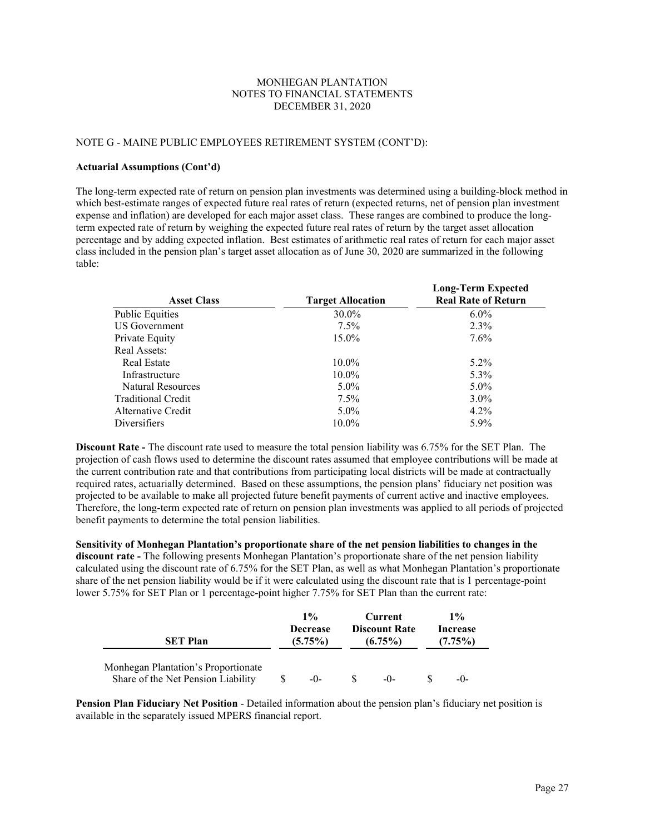# NOTE G - MAINE PUBLIC EMPLOYEES RETIREMENT SYSTEM (CONT'D):

#### **Actuarial Assumptions (Cont'd)**

The long-term expected rate of return on pension plan investments was determined using a building-block method in which best-estimate ranges of expected future real rates of return (expected returns, net of pension plan investment expense and inflation) are developed for each major asset class. These ranges are combined to produce the longterm expected rate of return by weighing the expected future real rates of return by the target asset allocation percentage and by adding expected inflation. Best estimates of arithmetic real rates of return for each major asset class included in the pension plan's target asset allocation as of June 30, 2020 are summarized in the following table:

| <b>Asset Class</b>     | <b>Target Allocation</b> | <b>Long-Term Expected</b><br><b>Real Rate of Return</b> |
|------------------------|--------------------------|---------------------------------------------------------|
| <b>Public Equities</b> | 30.0%                    | $6.0\%$                                                 |
| US Government          | $7.5\%$                  | $2.3\%$                                                 |
| Private Equity         | 15.0%                    | $7.6\%$                                                 |
| Real Assets:           |                          |                                                         |
| Real Estate            | $10.0\%$                 | $5.2\%$                                                 |
| Infrastructure         | $10.0\%$                 | $5.3\%$                                                 |
| Natural Resources      | $5.0\%$                  | $5.0\%$                                                 |
| Traditional Credit     | $7.5\%$                  | $3.0\%$                                                 |
| Alternative Credit     | $5.0\%$                  | $4.2\%$                                                 |
| Diversifiers           | 10.0%                    | 5.9%                                                    |

**Discount Rate -** The discount rate used to measure the total pension liability was 6.75% for the SET Plan. The projection of cash flows used to determine the discount rates assumed that employee contributions will be made at the current contribution rate and that contributions from participating local districts will be made at contractually required rates, actuarially determined. Based on these assumptions, the pension plans' fiduciary net position was projected to be available to make all projected future benefit payments of current active and inactive employees. Therefore, the long-term expected rate of return on pension plan investments was applied to all periods of projected benefit payments to determine the total pension liabilities.

**Sensitivity of Monhegan Plantation's proportionate share of the net pension liabilities to changes in the discount rate -** The following presents Monhegan Plantation's proportionate share of the net pension liability calculated using the discount rate of 6.75% for the SET Plan, as well as what Monhegan Plantation's proportionate share of the net pension liability would be if it were calculated using the discount rate that is 1 percentage-point lower 5.75% for SET Plan or 1 percentage-point higher 7.75% for SET Plan than the current rate:

| <b>SET Plan</b>                                                           | $1\%$<br><b>Decrease</b><br>(5.75%) | Current<br><b>Discount Rate</b><br>$(6.75\%)$ | 1%<br><b>Increase</b><br>(7.75%) |
|---------------------------------------------------------------------------|-------------------------------------|-----------------------------------------------|----------------------------------|
| Monhegan Plantation's Proportionate<br>Share of the Net Pension Liability | -()-                                | $-()$                                         | $-()$                            |

**Pension Plan Fiduciary Net Position** - Detailed information about the pension plan's fiduciary net position is available in the separately issued MPERS financial report.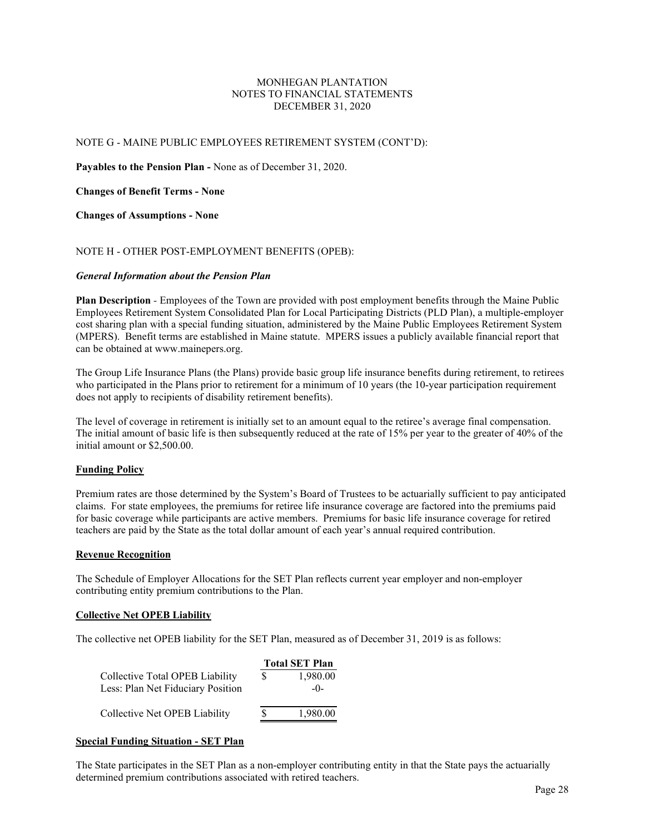# NOTE G - MAINE PUBLIC EMPLOYEES RETIREMENT SYSTEM (CONT'D):

**Payables to the Pension Plan -** None as of December 31, 2020.

**Changes of Benefit Terms - None**

**Changes of Assumptions - None**

# NOTE H - OTHER POST-EMPLOYMENT BENEFITS (OPEB):

#### *General Information about the Pension Plan*

**Plan Description** *-* Employees of the Town are provided with post employment benefits through the Maine Public Employees Retirement System Consolidated Plan for Local Participating Districts (PLD Plan), a multiple-employer cost sharing plan with a special funding situation, administered by the Maine Public Employees Retirement System (MPERS). Benefit terms are established in Maine statute. MPERS issues a publicly available financial report that can be obtained at [www.mainepers.org.](http://www.mainepers.org/)

The Group Life Insurance Plans (the Plans) provide basic group life insurance benefits during retirement, to retirees who participated in the Plans prior to retirement for a minimum of 10 years (the 10-year participation requirement does not apply to recipients of disability retirement benefits).

The level of coverage in retirement is initially set to an amount equal to the retiree's average final compensation. The initial amount of basic life is then subsequently reduced at the rate of 15% per year to the greater of 40% of the initial amount or \$2,500.00.

#### **Funding Policy**

Premium rates are those determined by the System's Board of Trustees to be actuarially sufficient to pay anticipated claims. For state employees, the premiums for retiree life insurance coverage are factored into the premiums paid for basic coverage while participants are active members. Premiums for basic life insurance coverage for retired teachers are paid by the State as the total dollar amount of each year's annual required contribution.

#### **Revenue Recognition**

The Schedule of Employer Allocations for the SET Plan reflects current year employer and non-employer contributing entity premium contributions to the Plan.

#### **Collective Net OPEB Liability**

The collective net OPEB liability for the SET Plan, measured as of December 31, 2019 is as follows:

|                                                                      |   | <b>Total SET Plan</b> |
|----------------------------------------------------------------------|---|-----------------------|
| Collective Total OPEB Liability<br>Less: Plan Net Fiduciary Position | S | 1,980.00<br>$-0-$     |
| Collective Net OPEB Liability                                        | S | 1,980.00              |

# **Special Funding Situation - SET Plan**

The State participates in the SET Plan as a non-employer contributing entity in that the State pays the actuarially determined premium contributions associated with retired teachers.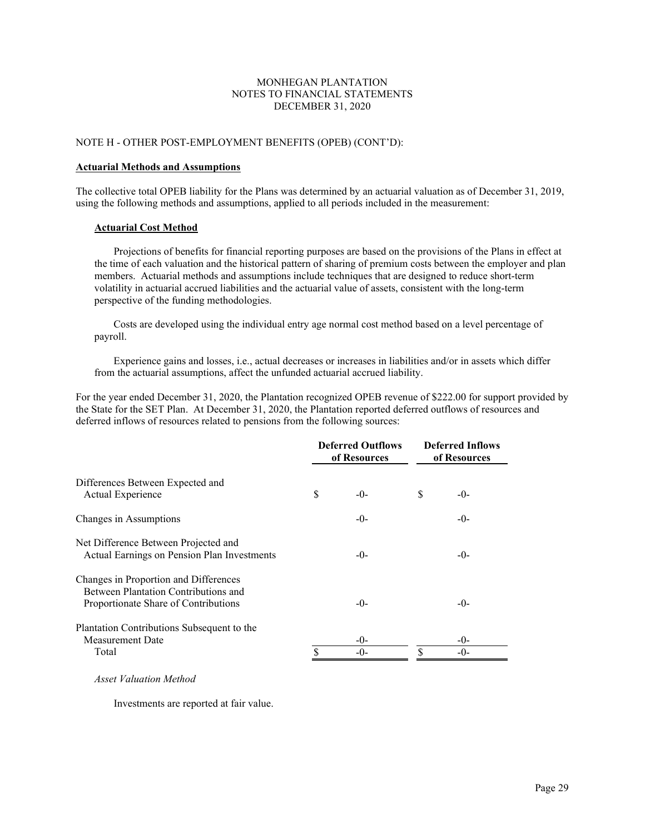## NOTE H - OTHER POST-EMPLOYMENT BENEFITS (OPEB) (CONT'D):

#### **Actuarial Methods and Assumptions**

The collective total OPEB liability for the Plans was determined by an actuarial valuation as of December 31, 2019, using the following methods and assumptions, applied to all periods included in the measurement:

#### **Actuarial Cost Method**

Projections of benefits for financial reporting purposes are based on the provisions of the Plans in effect at the time of each valuation and the historical pattern of sharing of premium costs between the employer and plan members. Actuarial methods and assumptions include techniques that are designed to reduce short-term volatility in actuarial accrued liabilities and the actuarial value of assets, consistent with the long-term perspective of the funding methodologies.

Costs are developed using the individual entry age normal cost method based on a level percentage of payroll.

Experience gains and losses, i.e., actual decreases or increases in liabilities and/or in assets which differ from the actuarial assumptions, affect the unfunded actuarial accrued liability.

For the year ended December 31, 2020, the Plantation recognized OPEB revenue of \$222.00 for support provided by the State for the SET Plan. At December 31, 2020, the Plantation reported deferred outflows of resources and deferred inflows of resources related to pensions from the following sources:

|                                                                                                                       | <b>Deferred Outflows</b><br>of Resources | <b>Deferred Inflows</b><br>of Resources |
|-----------------------------------------------------------------------------------------------------------------------|------------------------------------------|-----------------------------------------|
| Differences Between Expected and<br>Actual Experience                                                                 | \$<br>$-0-$                              | \$<br>$-0-$                             |
| Changes in Assumptions                                                                                                | $-0-$                                    | $-0-$                                   |
| Net Difference Between Projected and<br>Actual Earnings on Pension Plan Investments                                   | -0-                                      | $-0-$                                   |
| Changes in Proportion and Differences<br>Between Plantation Contributions and<br>Proportionate Share of Contributions | $-0-$                                    | $-0-$                                   |
| Plantation Contributions Subsequent to the<br>Measurement Date<br>Total                                               | -0-<br>-0-                               | $-0-$<br>-0-                            |

 *Asset Valuation Method*

Investments are reported at fair value.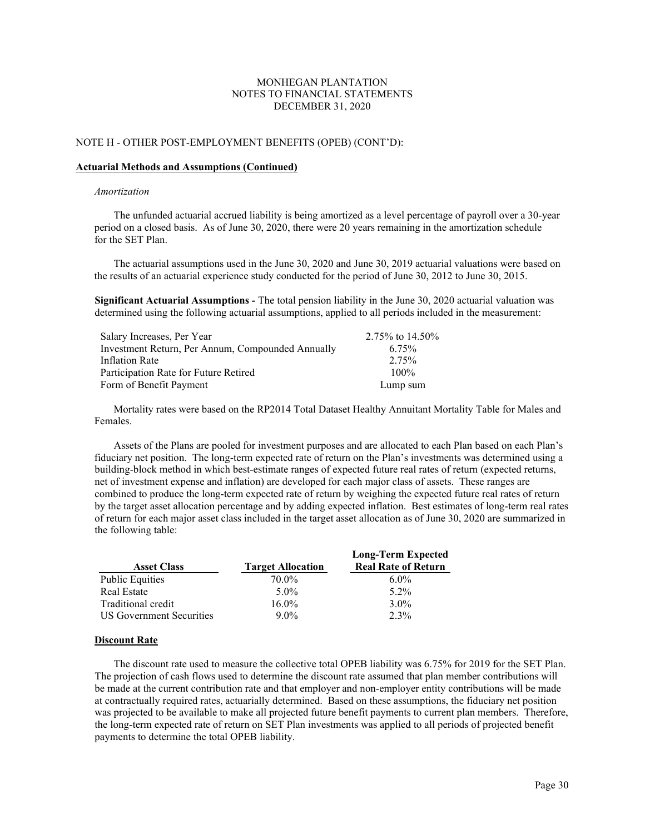### NOTE H - OTHER POST-EMPLOYMENT BENEFITS (OPEB) (CONT'D):

#### **Actuarial Methods and Assumptions (Continued)**

#### *Amortization*

The unfunded actuarial accrued liability is being amortized as a level percentage of payroll over a 30-year period on a closed basis. As of June 30, 2020, there were 20 years remaining in the amortization schedule for the SET Plan.

The actuarial assumptions used in the June 30, 2020 and June 30, 2019 actuarial valuations were based on the results of an actuarial experience study conducted for the period of June 30, 2012 to June 30, 2015.

**Significant Actuarial Assumptions -** The total pension liability in the June 30, 2020 actuarial valuation was determined using the following actuarial assumptions, applied to all periods included in the measurement:

| Salary Increases, Per Year                        | 2.75% to 14.50% |
|---------------------------------------------------|-----------------|
| Investment Return, Per Annum, Compounded Annually | 6.75%           |
| Inflation Rate                                    | 2.75%           |
| Participation Rate for Future Retired             | $100\%$         |
| Form of Benefit Payment                           | Lump sum        |

 Mortality rates were based on the RP2014 Total Dataset Healthy Annuitant Mortality Table for Males and Females.

 Assets of the Plans are pooled for investment purposes and are allocated to each Plan based on each Plan's fiduciary net position. The long-term expected rate of return on the Plan's investments was determined using a building-block method in which best-estimate ranges of expected future real rates of return (expected returns, net of investment expense and inflation) are developed for each major class of assets. These ranges are combined to produce the long-term expected rate of return by weighing the expected future real rates of return by the target asset allocation percentage and by adding expected inflation. Best estimates of long-term real rates of return for each major asset class included in the target asset allocation as of June 30, 2020 are summarized in the following table:

|                          |                          | <b>Long-Term Expected</b>  |
|--------------------------|--------------------------|----------------------------|
| <b>Asset Class</b>       | <b>Target Allocation</b> | <b>Real Rate of Return</b> |
| <b>Public Equities</b>   | 70.0%                    | $6.0\%$                    |
| Real Estate              | $5.0\%$                  | 5.2%                       |
| Traditional credit       | $16.0\%$                 | $3.0\%$                    |
| US Government Securities | $9.0\%$                  | $2.3\%$                    |

#### **Discount Rate**

The discount rate used to measure the collective total OPEB liability was 6.75% for 2019 for the SET Plan. The projection of cash flows used to determine the discount rate assumed that plan member contributions will be made at the current contribution rate and that employer and non-employer entity contributions will be made at contractually required rates, actuarially determined. Based on these assumptions, the fiduciary net position was projected to be available to make all projected future benefit payments to current plan members. Therefore, the long-term expected rate of return on SET Plan investments was applied to all periods of projected benefit payments to determine the total OPEB liability.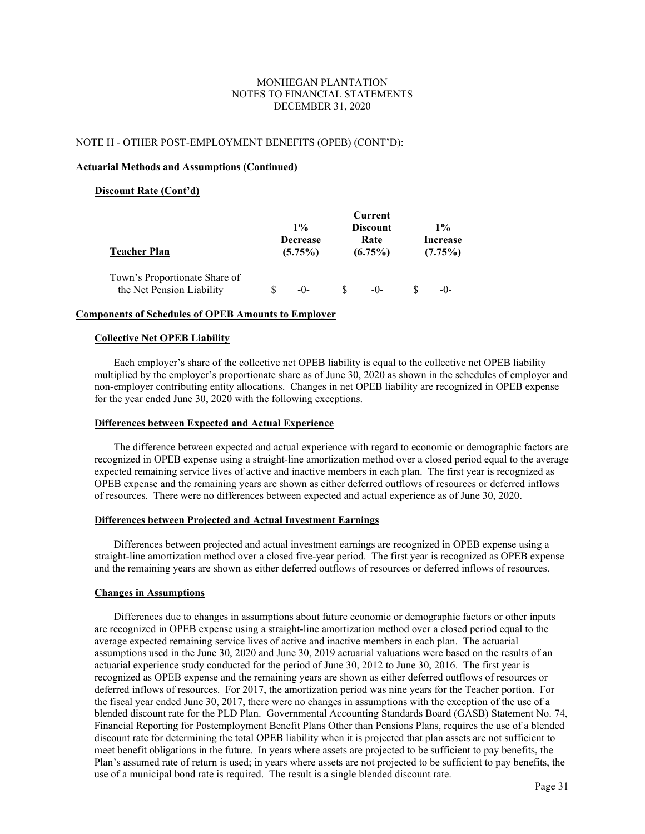# NOTE H - OTHER POST-EMPLOYMENT BENEFITS (OPEB) (CONT'D):

### **Actuarial Methods and Assumptions (Continued)**

### **Discount Rate (Cont'd)**

| <b>Teacher Plan</b>                                        | $1\%$<br><b>Decrease</b><br>(5.75%) | Current<br><b>Discount</b><br>Rate<br>$(6.75\%)$ | $1\%$<br>Increase<br>(7.75%) |
|------------------------------------------------------------|-------------------------------------|--------------------------------------------------|------------------------------|
| Town's Proportionate Share of<br>the Net Pension Liability | $-()$                               | $-0-$                                            | $-0-$                        |

#### **Components of Schedules of OPEB Amounts to Employer**

#### **Collective Net OPEB Liability**

Each employer's share of the collective net OPEB liability is equal to the collective net OPEB liability multiplied by the employer's proportionate share as of June 30, 2020 as shown in the schedules of employer and non-employer contributing entity allocations. Changes in net OPEB liability are recognized in OPEB expense for the year ended June 30, 2020 with the following exceptions.

#### **Differences between Expected and Actual Experience**

The difference between expected and actual experience with regard to economic or demographic factors are recognized in OPEB expense using a straight-line amortization method over a closed period equal to the average expected remaining service lives of active and inactive members in each plan. The first year is recognized as OPEB expense and the remaining years are shown as either deferred outflows of resources or deferred inflows of resources. There were no differences between expected and actual experience as of June 30, 2020.

### **Differences between Projected and Actual Investment Earnings**

Differences between projected and actual investment earnings are recognized in OPEB expense using a straight-line amortization method over a closed five-year period. The first year is recognized as OPEB expense and the remaining years are shown as either deferred outflows of resources or deferred inflows of resources.

#### **Changes in Assumptions**

Differences due to changes in assumptions about future economic or demographic factors or other inputs are recognized in OPEB expense using a straight-line amortization method over a closed period equal to the average expected remaining service lives of active and inactive members in each plan. The actuarial assumptions used in the June 30, 2020 and June 30, 2019 actuarial valuations were based on the results of an actuarial experience study conducted for the period of June 30, 2012 to June 30, 2016. The first year is recognized as OPEB expense and the remaining years are shown as either deferred outflows of resources or deferred inflows of resources. For 2017, the amortization period was nine years for the Teacher portion. For the fiscal year ended June 30, 2017, there were no changes in assumptions with the exception of the use of a blended discount rate for the PLD Plan. Governmental Accounting Standards Board (GASB) Statement No. 74, Financial Reporting for Postemployment Benefit Plans Other than Pensions Plans, requires the use of a blended discount rate for determining the total OPEB liability when it is projected that plan assets are not sufficient to meet benefit obligations in the future. In years where assets are projected to be sufficient to pay benefits, the Plan's assumed rate of return is used; in years where assets are not projected to be sufficient to pay benefits, the use of a municipal bond rate is required. The result is a single blended discount rate.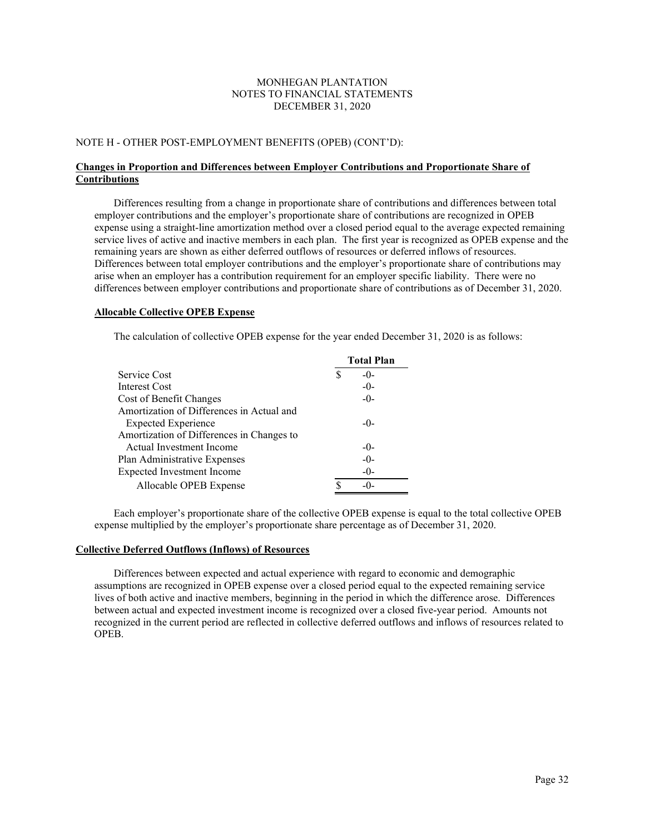# NOTE H - OTHER POST-EMPLOYMENT BENEFITS (OPEB) (CONT'D):

# **Changes in Proportion and Differences between Employer Contributions and Proportionate Share of Contributions**

Differences resulting from a change in proportionate share of contributions and differences between total employer contributions and the employer's proportionate share of contributions are recognized in OPEB expense using a straight-line amortization method over a closed period equal to the average expected remaining service lives of active and inactive members in each plan. The first year is recognized as OPEB expense and the remaining years are shown as either deferred outflows of resources or deferred inflows of resources. Differences between total employer contributions and the employer's proportionate share of contributions may arise when an employer has a contribution requirement for an employer specific liability. There were no differences between employer contributions and proportionate share of contributions as of December 31, 2020.

#### **Allocable Collective OPEB Expense**

The calculation of collective OPEB expense for the year ended December 31, 2020 is as follows:

|                                           | <b>Total Plan</b> |
|-------------------------------------------|-------------------|
| Service Cost                              | S<br>$-0-$        |
| Interest Cost                             | $-0-$             |
| Cost of Benefit Changes                   | $-0-$             |
| Amortization of Differences in Actual and |                   |
| <b>Expected Experience</b>                | $-0-$             |
| Amortization of Differences in Changes to |                   |
| Actual Investment Income                  | $-0-$             |
| Plan Administrative Expenses              | $-0-$             |
| <b>Expected Investment Income</b>         | $-0-$             |
| Allocable OPEB Expense                    | -0-               |

Each employer's proportionate share of the collective OPEB expense is equal to the total collective OPEB expense multiplied by the employer's proportionate share percentage as of December 31, 2020.

# **Collective Deferred Outflows (Inflows) of Resources**

 Differences between expected and actual experience with regard to economic and demographic assumptions are recognized in OPEB expense over a closed period equal to the expected remaining service lives of both active and inactive members, beginning in the period in which the difference arose. Differences between actual and expected investment income is recognized over a closed five-year period. Amounts not recognized in the current period are reflected in collective deferred outflows and inflows of resources related to **OPER**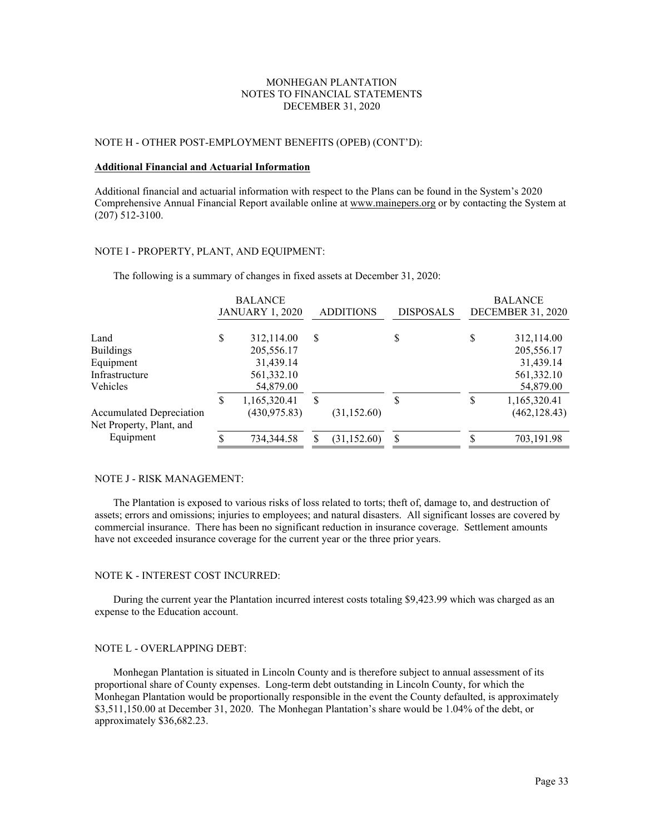### NOTE H - OTHER POST-EMPLOYMENT BENEFITS (OPEB) (CONT'D):

## **Additional Financial and Actuarial Information**

Additional financial and actuarial information with respect to the Plans can be found in the System's 2020 Comprehensive Annual Financial Report available online a[t www.mainepers.org](http://www.mainepers.org/) or by contacting the System at (207) 512-3100.

# NOTE I - PROPERTY, PLANT, AND EQUIPMENT:

The following is a summary of changes in fixed assets at December 31, 2020:

|                                 | <b>BALANCE</b><br><b>JANUARY 1, 2020</b> | <b>ADDITIONS</b> | <b>DISPOSALS</b> | <b>BALANCE</b><br><b>DECEMBER 31, 2020</b> |
|---------------------------------|------------------------------------------|------------------|------------------|--------------------------------------------|
| Land                            | \$<br>312,114.00                         | \$               | \$               | \$<br>312,114.00                           |
| <b>Buildings</b>                | 205,556.17                               |                  |                  | 205,556.17                                 |
| Equipment                       | 31,439.14                                |                  |                  | 31,439.14                                  |
| Infrastructure                  | 561,332.10                               |                  |                  | 561,332.10                                 |
| Vehicles                        | 54,879.00                                |                  |                  | 54,879.00                                  |
|                                 | \$<br>1,165,320.41                       | \$               | S                | \$<br>1,165,320.41                         |
| <b>Accumulated Depreciation</b> | (430, 975.83)                            | (31, 152.60)     |                  | (462, 128.43)                              |
| Net Property, Plant, and        |                                          |                  |                  |                                            |
| Equipment                       | \$<br>734,344.58                         | (31, 152.60)     | \$               | 703,191.98                                 |

#### NOTE J - RISK MANAGEMENT:

 The Plantation is exposed to various risks of loss related to torts; theft of, damage to, and destruction of assets; errors and omissions; injuries to employees; and natural disasters. All significant losses are covered by commercial insurance. There has been no significant reduction in insurance coverage. Settlement amounts have not exceeded insurance coverage for the current year or the three prior years.

#### NOTE K - INTEREST COST INCURRED:

 During the current year the Plantation incurred interest costs totaling \$9,423.99 which was charged as an expense to the Education account.

#### NOTE L - OVERLAPPING DEBT:

 Monhegan Plantation is situated in Lincoln County and is therefore subject to annual assessment of its proportional share of County expenses. Long-term debt outstanding in Lincoln County, for which the Monhegan Plantation would be proportionally responsible in the event the County defaulted, is approximately \$3,511,150.00 at December 31, 2020. The Monhegan Plantation's share would be 1.04% of the debt, or approximately \$36,682.23.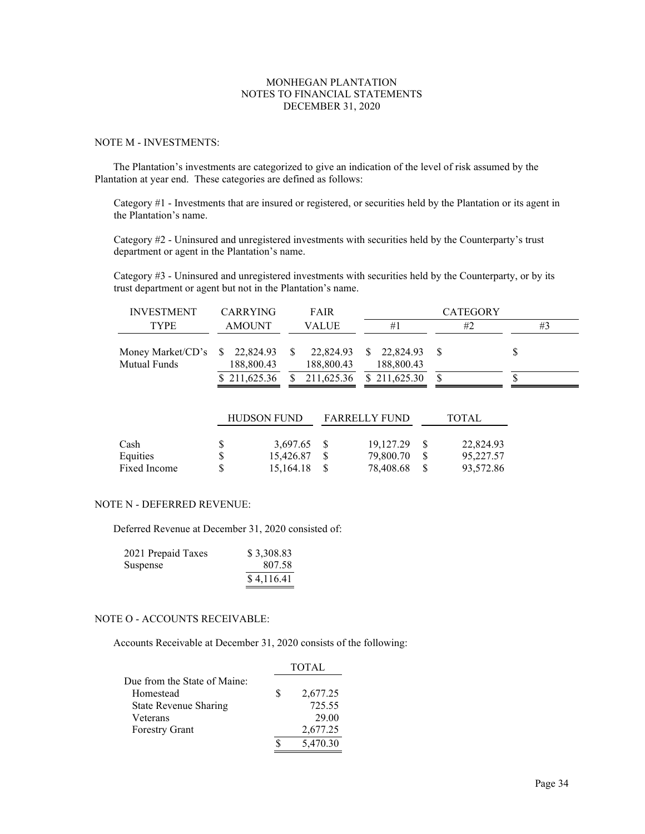#### NOTE M - INVESTMENTS:

 The Plantation's investments are categorized to give an indication of the level of risk assumed by the Plantation at year end. These categories are defined as follows:

Category #1 - Investments that are insured or registered, or securities held by the Plantation or its agent in the Plantation's name.

Category #2 - Uninsured and unregistered investments with securities held by the Counterparty's trust department or agent in the Plantation's name.

Category #3 - Uninsured and unregistered investments with securities held by the Counterparty, or by its trust department or agent but not in the Plantation's name.

| <b>INVESTMENT</b>                                 | <b>CARRYING</b> | FAIR                            |                                      | CATEGORY |    |
|---------------------------------------------------|-----------------|---------------------------------|--------------------------------------|----------|----|
| <b>TYPE</b>                                       | AMOUNT          | VALUE                           | #1                                   | #2       | #3 |
| Money Market/CD's $$22,824.93$ \$<br>Mutual Funds | 188,800.43      | 188,800.43                      | 22,824.93 \$ 22,824.93<br>188,800.43 |          |    |
|                                                   | \$211,625.36    | $$211,625.36 \quad $211,625.30$ |                                      |          |    |

|              | <b>HUDSON FUND</b> | <b>FARRELLY FUND</b> |           | TOTAL     |  |
|--------------|--------------------|----------------------|-----------|-----------|--|
| Cash         | 3.697.65           | - 85                 | 19,127.29 | 22,824.93 |  |
| Equities     | 15.426.87          |                      | 79,800.70 | 95,227.57 |  |
| Fixed Income | 15,164.18          |                      | 78,408.68 | 93,572.86 |  |

## NOTE N - DEFERRED REVENUE:

Deferred Revenue at December 31, 2020 consisted of:

| 2021 Prepaid Taxes | \$3,308.83 |
|--------------------|------------|
| Suspense           | 807.58     |
|                    | \$4,116.41 |

#### NOTE O - ACCOUNTS RECEIVABLE:

Accounts Receivable at December 31, 2020 consists of the following:

|                              |   | TOTAL    |
|------------------------------|---|----------|
| Due from the State of Maine: |   |          |
| Homestead                    | S | 2,677.25 |
| <b>State Revenue Sharing</b> |   | 725.55   |
| Veterans                     |   | 29.00    |
| <b>Forestry Grant</b>        |   | 2,677.25 |
|                              |   | 5,470.30 |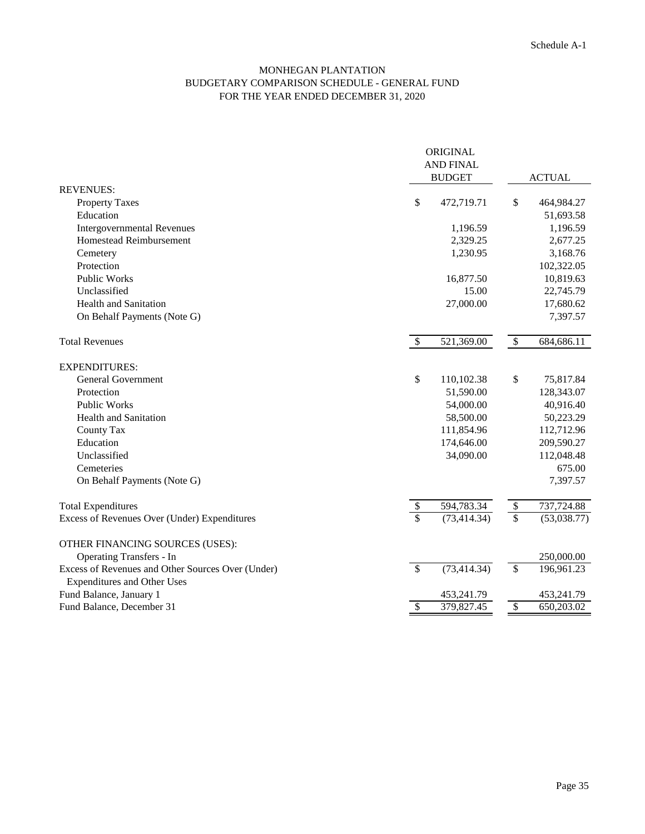# MONHEGAN PLANTATION BUDGETARY COMPARISON SCHEDULE - GENERAL FUND FOR THE YEAR ENDED DECEMBER 31, 2020

|                                                   | ORIGINAL                  |                  |                          |               |  |  |  |
|---------------------------------------------------|---------------------------|------------------|--------------------------|---------------|--|--|--|
|                                                   |                           | <b>AND FINAL</b> |                          |               |  |  |  |
|                                                   |                           | <b>BUDGET</b>    |                          | <b>ACTUAL</b> |  |  |  |
| <b>REVENUES:</b>                                  |                           |                  |                          |               |  |  |  |
| <b>Property Taxes</b>                             | \$                        | 472,719.71       | $\mathsf{\$}$            | 464,984.27    |  |  |  |
| Education                                         |                           |                  |                          | 51,693.58     |  |  |  |
| <b>Intergovernmental Revenues</b>                 |                           | 1,196.59         |                          | 1,196.59      |  |  |  |
| Homestead Reimbursement                           |                           | 2,329.25         |                          | 2,677.25      |  |  |  |
| Cemetery                                          |                           | 1,230.95         |                          | 3,168.76      |  |  |  |
| Protection                                        |                           |                  |                          | 102,322.05    |  |  |  |
| <b>Public Works</b>                               |                           | 16,877.50        |                          | 10,819.63     |  |  |  |
| Unclassified                                      |                           | 15.00            |                          | 22,745.79     |  |  |  |
| <b>Health and Sanitation</b>                      |                           | 27,000.00        |                          | 17,680.62     |  |  |  |
| On Behalf Payments (Note G)                       |                           |                  |                          | 7,397.57      |  |  |  |
| <b>Total Revenues</b>                             | $\$\,$                    | 521,369.00       | $\overline{\mathcal{S}}$ | 684,686.11    |  |  |  |
| <b>EXPENDITURES:</b>                              |                           |                  |                          |               |  |  |  |
| <b>General Government</b>                         | \$                        | 110,102.38       | \$                       | 75,817.84     |  |  |  |
| Protection                                        |                           | 51,590.00        |                          | 128,343.07    |  |  |  |
| <b>Public Works</b>                               |                           | 54,000.00        |                          | 40,916.40     |  |  |  |
| <b>Health and Sanitation</b>                      |                           | 58,500.00        |                          | 50,223.29     |  |  |  |
| County Tax                                        |                           | 111,854.96       |                          | 112,712.96    |  |  |  |
| Education                                         |                           | 174,646.00       |                          | 209,590.27    |  |  |  |
| Unclassified                                      |                           | 34,090.00        |                          | 112,048.48    |  |  |  |
| Cemeteries                                        |                           |                  |                          | 675.00        |  |  |  |
| On Behalf Payments (Note G)                       |                           |                  |                          | 7,397.57      |  |  |  |
| <b>Total Expenditures</b>                         | $\mathbb{S}$              | 594,783.34       | $\$$                     | 737,724.88    |  |  |  |
| Excess of Revenues Over (Under) Expenditures      | \$                        | (73, 414.34)     | $\overline{\mathcal{S}}$ | (53,038.77)   |  |  |  |
| OTHER FINANCING SOURCES (USES):                   |                           |                  |                          |               |  |  |  |
| <b>Operating Transfers - In</b>                   |                           |                  |                          | 250,000.00    |  |  |  |
| Excess of Revenues and Other Sources Over (Under) | $\boldsymbol{\mathsf{S}}$ | (73, 414.34)     | $\sqrt$                  | 196,961.23    |  |  |  |
| <b>Expenditures and Other Uses</b>                |                           |                  |                          |               |  |  |  |
| Fund Balance, January 1                           |                           | 453,241.79       |                          | 453,241.79    |  |  |  |
| Fund Balance, December 31                         | \$                        | 379,827.45       | $\$$                     | 650,203.02    |  |  |  |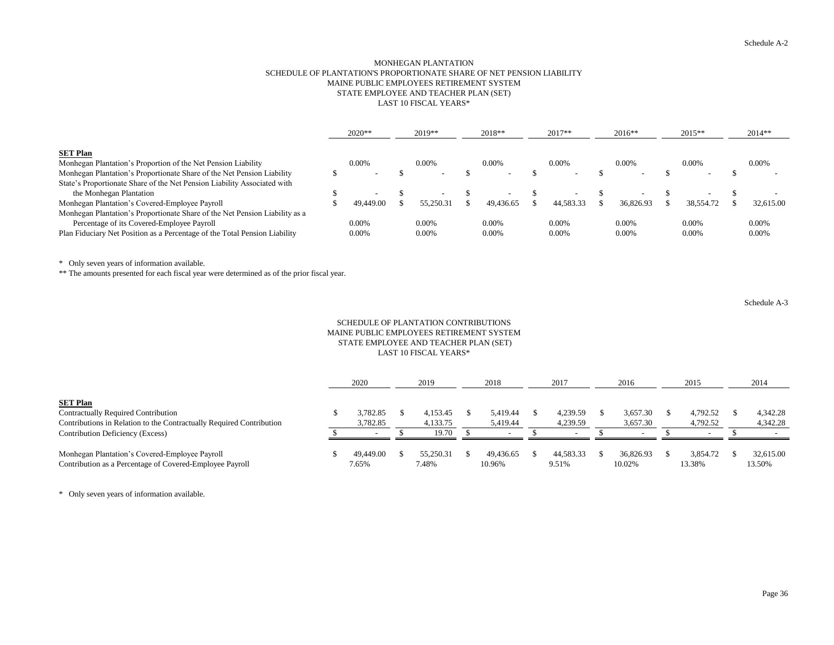#### MONHEGAN PLANTATION SCHEDULE OF PLANTATION'S PROPORTIONATE SHARE OF NET PENSION LIABILITY MAINE PUBLIC EMPLOYEES RETIREMENT SYSTEM STATE EMPLOYEE AND TEACHER PLAN (SET) LAST 10 FISCAL YEARS\*

|                                                                                                                           | $2020**$                 | $2019**$  | 2018**    | $2017**$                 | $2016**$  | $2015**$                 | $2014**$  |
|---------------------------------------------------------------------------------------------------------------------------|--------------------------|-----------|-----------|--------------------------|-----------|--------------------------|-----------|
| <b>SET Plan</b><br>Monhegan Plantation's Proportion of the Net Pension Liability                                          | 0.00%                    | $0.00\%$  | 0.00%     | $0.00\%$                 | 0.00%     | $0.00\%$                 | 0.00%     |
| Monhegan Plantation's Proportionate Share of the Net Pension Liability                                                    |                          |           |           |                          |           |                          |           |
| State's Proportionate Share of the Net Pension Liability Associated with                                                  |                          |           |           |                          |           |                          |           |
| the Monhegan Plantation                                                                                                   | $\overline{\phantom{0}}$ | $\sim$    |           | $\overline{\phantom{0}}$ |           | $\overline{\phantom{0}}$ |           |
| Monhegan Plantation's Covered-Employee Payroll                                                                            | 49.449.00                | 55.250.31 | 49,436.65 | 44.583.33                | 36,826.93 | 38,554.72                | 32,615.00 |
| Monhegan Plantation's Proportionate Share of the Net Pension Liability as a<br>Percentage of its Covered-Employee Payroll | 0.00%                    | $0.00\%$  | 0.00%     | $0.00\%$                 | $0.00\%$  | 0.00%                    | 0.00%     |
| Plan Fiduciary Net Position as a Percentage of the Total Pension Liability                                                | 0.00%                    | $0.00\%$  | 0.00%     | $0.00\%$                 | $0.00\%$  | $0.00\%$                 | 0.00%     |

\* Only seven years of information available.

\*\* The amounts presented for each fiscal year were determined as of the prior fiscal year.

Schedule A-3

#### SCHEDULE OF PLANTATION CONTRIBUTIONS MAINE PUBLIC EMPLOYEES RETIREMENT SYSTEM STATE EMPLOYEE AND TEACHER PLAN (SET) LAST 10 FISCAL YEARS\*

|                                                                      | 2020      | 2019      | 2018      | 2017      | 2016      | 2015     | 2014      |
|----------------------------------------------------------------------|-----------|-----------|-----------|-----------|-----------|----------|-----------|
| <b>SET Plan</b>                                                      |           |           |           |           |           |          |           |
| <b>Contractually Required Contribution</b>                           | 3,782.85  | 4.153.45  | 5.419.44  | 4.239.59  | 3.657.30  | 4,792.52 | 4,342.28  |
| Contributions in Relation to the Contractually Required Contribution | 3,782.85  | 4,133.75  | 5.419.44  | 4,239.59  | 3,657.30  | 4,792.52 | 4,342.28  |
| Contribution Deficiency (Excess)                                     |           | 19.70     |           |           |           |          |           |
| Monhegan Plantation's Covered-Employee Payroll                       | 49,449.00 | 55.250.31 | 49,436.65 | 44.583.33 | 36,826.93 | 3.854.72 | 32,615.00 |
| Contribution as a Percentage of Covered-Employee Payroll             | 7.65%     | 7.48%     | 10.96%    | 9.51%     | 10.02%    | 13.38%   | 13.50%    |

\* Only seven years of information available.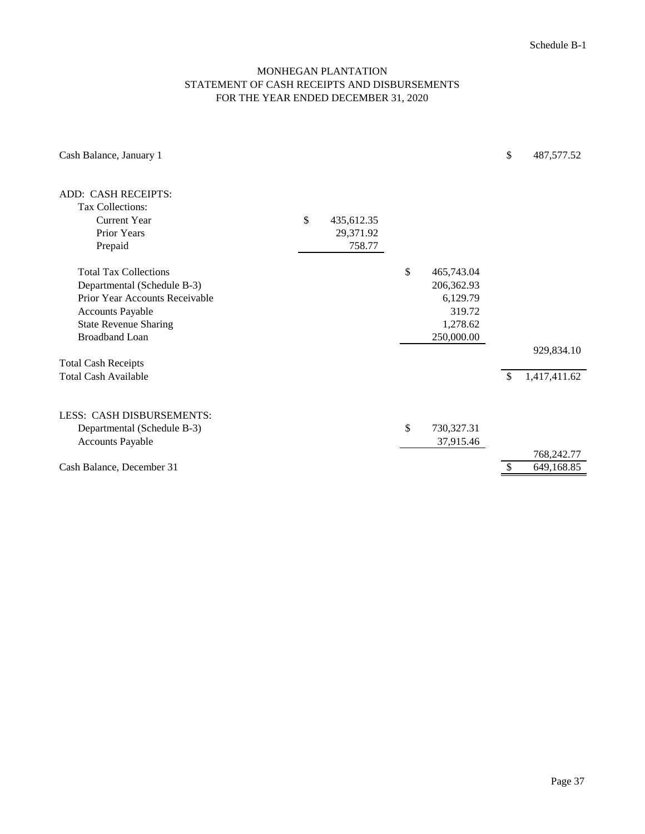# MONHEGAN PLANTATION STATEMENT OF CASH RECEIPTS AND DISBURSEMENTS FOR THE YEAR ENDED DECEMBER 31, 2020

|                                         |              |                                                                          | \$           | 487,577.52               |
|-----------------------------------------|--------------|--------------------------------------------------------------------------|--------------|--------------------------|
| \$<br>435,612.35<br>29,371.92<br>758.77 |              |                                                                          |              |                          |
|                                         | $\mathbb{S}$ | 465,743.04<br>206,362.93<br>6,129.79<br>319.72<br>1,278.62<br>250,000.00 |              | 929,834.10               |
|                                         |              |                                                                          | $\mathbb{S}$ | 1,417,411.62             |
|                                         | \$           | 730,327.31<br>37,915.46                                                  |              | 768,242.77<br>649,168.85 |
|                                         |              |                                                                          |              |                          |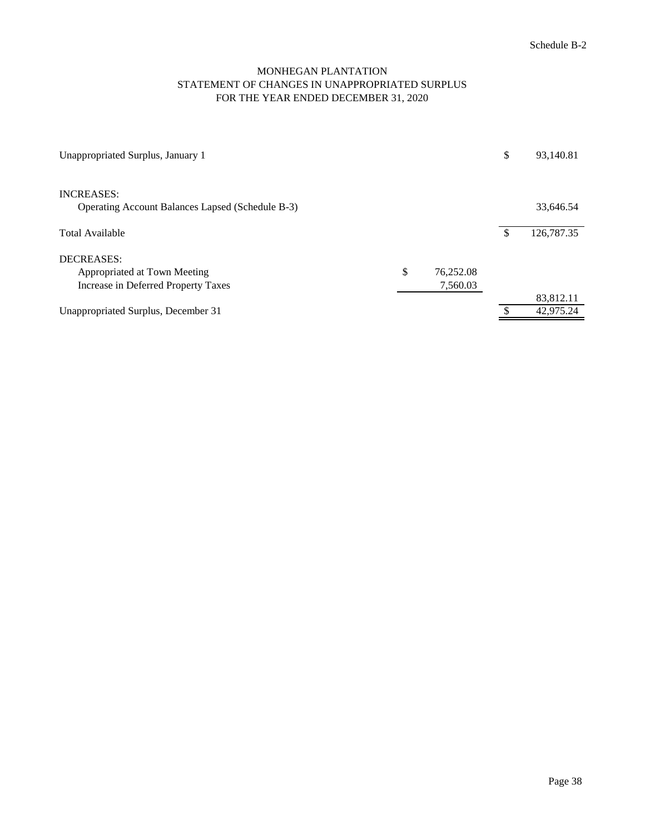# MONHEGAN PLANTATION STATEMENT OF CHANGES IN UNAPPROPRIATED SURPLUS FOR THE YEAR ENDED DECEMBER 31, 2020

| Unappropriated Surplus, January 1                       |                 | \$<br>93,140.81 |
|---------------------------------------------------------|-----------------|-----------------|
| <b>INCREASES:</b>                                       |                 |                 |
| <b>Operating Account Balances Lapsed (Schedule B-3)</b> |                 | 33,646.54       |
| Total Available                                         |                 | 126,787.35      |
| <b>DECREASES:</b>                                       |                 |                 |
| Appropriated at Town Meeting                            | \$<br>76.252.08 |                 |
| Increase in Deferred Property Taxes                     | 7,560.03        |                 |
|                                                         |                 | 83,812.11       |
| Unappropriated Surplus, December 31                     |                 | 42,975.24       |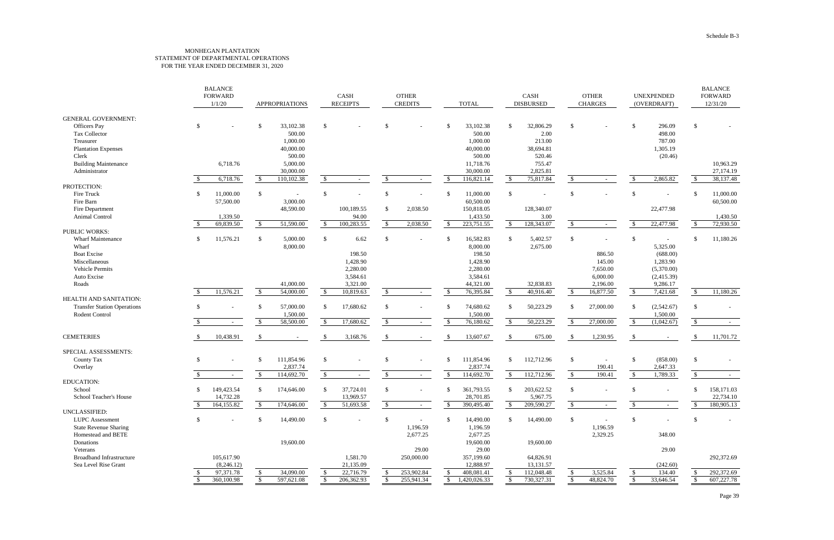|          | UNEXPENDED          |          | <b>BALANCE</b><br><b>FORWARD</b> |
|----------|---------------------|----------|----------------------------------|
|          | (OVERDRAFT)         |          | 12/31/20                         |
|          |                     |          |                                  |
| \$       | 296.09              | \$       |                                  |
|          | 498.00<br>787.00    |          |                                  |
|          | 1,305.19            |          |                                  |
|          | (20.46)             |          |                                  |
|          |                     |          | 10,963.29                        |
|          |                     |          | 27,174.19                        |
| \$       | 2,865.82            | \$       | 38,137.48                        |
|          |                     |          |                                  |
| \$       |                     | \$       | 11,000.00                        |
|          |                     |          | 60,500.00                        |
|          | 22,477.98           |          |                                  |
|          |                     |          | 1,430.50                         |
| \$       | 22,477.98           | \$       | 72,930.50                        |
|          |                     |          |                                  |
| \$       |                     | \$       | 11,180.26                        |
|          | 5,325.00            |          |                                  |
|          | (688.00)            |          |                                  |
|          | 1,283.90            |          |                                  |
|          | (5,370.00)          |          |                                  |
|          | (2,415.39)          |          |                                  |
|          | 9,286.17            |          |                                  |
| \$       | 7,421.68            | \$       | 11,180.26                        |
| \$       | (2,542.67)          | \$       |                                  |
|          | 1,500.00            |          |                                  |
| \$       | (1,042.67)          | \$       |                                  |
|          |                     |          |                                  |
| \$       |                     | \$       | 11,701.72                        |
|          |                     |          |                                  |
|          |                     |          |                                  |
| \$       | (858.00)            | \$       |                                  |
|          | 2,647.33            |          |                                  |
| \$       | 1,789.33            | \$       | $\overline{a}$                   |
|          |                     |          |                                  |
| \$       |                     | \$       | 158,171.03                       |
|          |                     |          | 22,734.10                        |
| \$       |                     | \$       | 180,905.13                       |
|          |                     |          |                                  |
| \$       |                     | \$       |                                  |
|          | 348.00              |          |                                  |
|          |                     |          |                                  |
|          | 29.00               |          |                                  |
|          |                     |          | 292,372.69                       |
|          | (242.60)            |          |                                  |
| \$<br>\$ | 134.40<br>33,646.54 | \$<br>\$ | 292,372.69<br>607,227.78         |
|          |                     |          |                                  |

## MONHEGAN PLANTATION STATEMENT OF DEPARTMENTAL OPERATIONS FOR THE YEAR ENDED DECEMBER 31, 2020

|                                                                                                                                                                 |              | <b>BALANCE</b><br><b>FORWARD</b><br>1/1/20 |                    | APPROPRIATIONS                                                                  |                              | CASH<br><b>RECEIPTS</b>                                        |                     | <b>OTHER</b><br><b>CREDITS</b> |                      | <b>TOTAL</b>                                                                     |                              | <b>CASH</b><br><b>DISBURSED</b>                                          |                               | <b>OTHER</b><br><b>CHARGES</b>                       |                               | UNEXPENDED<br>(OVERDRAFT)                                                |                               | <b>BALANCE</b><br><b>FORWARD</b><br>12/31/20 |
|-----------------------------------------------------------------------------------------------------------------------------------------------------------------|--------------|--------------------------------------------|--------------------|---------------------------------------------------------------------------------|------------------------------|----------------------------------------------------------------|---------------------|--------------------------------|----------------------|----------------------------------------------------------------------------------|------------------------------|--------------------------------------------------------------------------|-------------------------------|------------------------------------------------------|-------------------------------|--------------------------------------------------------------------------|-------------------------------|----------------------------------------------|
| <b>GENERAL GOVERNMENT:</b><br>Officers Pay<br>Tax Collector<br>Treasurer<br><b>Plantation Expenses</b><br>Clerk<br><b>Building Maintenance</b><br>Administrator | \$.          | 6,718.76                                   | -S                 | 33,102.38<br>500.00<br>1,000.00<br>40,000.00<br>500.00<br>5,000.00<br>30,000.00 | \$                           |                                                                |                     |                                |                      | 33,102.38<br>500.00<br>1,000.00<br>40,000.00<br>500.00<br>11,718.76<br>30,000.00 | <sup>S</sup>                 | 32,806.29<br>2.00<br>213.00<br>38,694.81<br>520.46<br>755.47<br>2,825.81 | -\$                           |                                                      | <sup>\$</sup>                 | 296.09<br>498.00<br>787.00<br>1,305.19<br>(20.46)                        | <sup>\$</sup>                 | 10,963.29<br>27,174.19                       |
|                                                                                                                                                                 |              | 6,718.76                                   | -S                 | 110,102.38                                                                      | $\mathbf{s}$                 |                                                                | $\mathbb{S}$        |                                | <sup>S</sup>         | 116,821.14                                                                       | <sup>\$</sup>                | 75,817.84                                                                | <sup>\$</sup>                 |                                                      | -S                            | 2,865.82                                                                 | <sup>S</sup>                  | 38,137.48                                    |
| PROTECTION:<br>Fire Truck<br>Fire Barn<br>Fire Department<br>Animal Control                                                                                     | \$           | 11,000.00<br>57,500.00<br>1,339.50         | <sup>\$</sup>      | 3,000.00<br>48,590.00                                                           | <sup>\$</sup>                | 100,189.55<br>94.00                                            | -S<br>\$            | 2,038.50                       | £.                   | 11,000.00<br>60,500.00<br>150,818.05<br>1,433.50                                 | \$.                          | 128,340.07<br>3.00                                                       | -S                            |                                                      |                               | 22,477.98                                                                |                               | 11,000.00<br>60,500.00<br>1,430.50           |
|                                                                                                                                                                 |              | 69,839.50                                  | <sup>S</sup>       | 51,590.00                                                                       | -S                           | 100,283.55                                                     | $\mathbb{S}$        | 2,038.50                       | <sup>\$</sup>        | 223,751.55                                                                       | <sup>\$</sup>                | 128,343.07                                                               | <sup>\$</sup>                 | $\sim$                                               | -\$                           | 22,477.98                                                                | <sup>S</sup>                  | 72,930.50                                    |
| <b>PUBLIC WORKS:</b><br>Wharf Maintenance<br>Wharf<br><b>Boat Excise</b><br>Miscellaneous<br>Vehicle Permits<br>Auto Excise<br>Roads                            | \$           | 11,576.21                                  | \$                 | 5,000.00<br>8,000.00<br>41,000.00                                               | \$.                          | 6.62<br>198.50<br>1,428.90<br>2,280.00<br>3,584.61<br>3,321.00 | -\$                 |                                |                      | 16,582.83<br>8,000.00<br>198.50<br>1,428.90<br>2,280.00<br>3,584.61<br>44,321.00 | \$.                          | 5,402.57<br>2,675.00<br>32,838.83                                        | -\$                           | 886.50<br>145.00<br>7,650.00<br>6,000.00<br>2,196.00 | <sup>\$</sup>                 | 5,325.00<br>(688.00)<br>1,283.90<br>(5,370.00)<br>(2,415.39)<br>9,286.17 | <sup>\$</sup>                 | 11,180.26                                    |
|                                                                                                                                                                 | <sup>S</sup> | 11,576.21                                  | $\mathcal{S}$      | 54,000.00                                                                       | \$                           | 10,819.63                                                      | $\mathbb{S}$        | $\sim$                         | <sup>S</sup>         | 76,395.84                                                                        | $\mathcal{S}$                | 40,916.40                                                                | <sup>S</sup>                  | 16,877.50                                            | \$                            | 7,421.68                                                                 | <sup>S</sup>                  | 11,180.26                                    |
| HEALTH AND SANITATION:<br><b>Transfer Station Operations</b><br>Rodent Control                                                                                  | \$           |                                            | -S<br>-\$          | 57,000.00<br>1,500.00<br>58,500.00                                              | \$<br>$\mathcal{S}$          | 17,680.62<br>17,680.62                                         | \$<br>$\mathcal{S}$ | $\sim$                         | \$.<br><sup>\$</sup> | 74,680.62<br>1,500.00<br>76,180.62                                               | \$<br><sup>\$</sup>          | 50,223.29<br>50,223.29                                                   | -\$<br>$\mathbb{S}$           | 27,000.00<br>27,000.00                               | <sup>\$</sup><br>$\mathbb{S}$ | (2,542.67)<br>1,500.00<br>(1,042.67)                                     | <sup>\$</sup><br>$\mathbb{S}$ |                                              |
| <b>CEMETERIES</b>                                                                                                                                               | SS.          | 10,438.91                                  |                    |                                                                                 |                              | 3,168.76                                                       |                     |                                |                      | 13,607.67                                                                        | -S                           | 675.00                                                                   |                               | 1,230.95                                             |                               |                                                                          |                               | 11,701.72                                    |
| SPECIAL ASSESSMENTS:<br>County Tax<br>Overlay                                                                                                                   | S.           |                                            | -S                 | 111,854.96<br>2,837.74                                                          | \$                           |                                                                | -\$                 |                                | -S                   | 111,854.96<br>2,837.74                                                           | \$                           | 112,712.96                                                               | -\$                           | 190.41                                               | $\mathbb{S}$                  | (858.00)<br>2,647.33                                                     | \$                            |                                              |
|                                                                                                                                                                 |              |                                            | -\$                | 114,692.70                                                                      | <sup>\$</sup>                |                                                                | <sup>\$</sup>       | $\sim$                         | -S                   | 114,692.70                                                                       | <sup>S</sup>                 | 112,712.96                                                               | $\mathbb{S}$                  | 190.41                                               | <sup>S</sup>                  | 1,789.33                                                                 | $\mathcal{S}$                 |                                              |
| <b>EDUCATION:</b><br>School<br>School Teacher's House                                                                                                           | \$           | 149,423.54<br>14,732.28<br>164,155.82      | -S                 | 174,646.00<br>174,646.00                                                        | <sup>\$</sup>                | 37,724.01<br>13,969.57<br>51,693.58                            | \$                  |                                | \$                   | 361,793.55<br>28,701.85<br>390,495.40                                            |                              | 203,622.52<br>5,967.75<br>209,590.27                                     | -\$                           |                                                      | -\$<br><sup>S</sup>           |                                                                          | \$.<br><sup>S</sup>           | 158,171.03<br>22,734.10<br>180,905.13        |
| UNCLASSIFIED:                                                                                                                                                   |              |                                            | \$                 |                                                                                 | <sup>S</sup>                 |                                                                | $\mathbb{S}$        |                                | <sup>S</sup>         |                                                                                  |                              |                                                                          | \$                            | $\sim$                                               |                               |                                                                          |                               |                                              |
| <b>LUPC</b> Assessment<br><b>State Revenue Sharing</b><br>Homestead and BETE<br>Donations                                                                       | \$           |                                            | $\mathbb{S}$       | 14,490.00<br>19,600.00                                                          | <sup>\$</sup>                |                                                                | $\mathbb{S}$        | $\sim$<br>1,196.59<br>2,677.25 | \$.                  | 14,490.00<br>1,196.59<br>2,677.25<br>19,600.00                                   | <sup>\$</sup>                | 14,490.00<br>19,600.00                                                   | \$                            | $\overline{\phantom{a}}$<br>1,196.59<br>2,329.25     | $\mathbb{S}$                  | 348.00                                                                   | $\mathbb{S}$                  |                                              |
| Veterans<br><b>Broadband Infrastructure</b><br>Sea Level Rise Grant                                                                                             |              | 105,617.90<br>(8,246.12)                   |                    |                                                                                 |                              | 1,581.70<br>21,135.09                                          |                     | 29.00<br>250,000.00            |                      | 29.00<br>357,199.60<br>12,888.97                                                 |                              | 64,826.91<br>13,131.57                                                   |                               |                                                      |                               | 29.00<br>(242.60)                                                        |                               | 292,372.69                                   |
|                                                                                                                                                                 | $\mathbb{S}$ | 97,371.78<br>360,100.98                    | \$<br>$\mathbb{S}$ | 34,090.00<br>597,621.08                                                         | <sup>S</sup><br>$\mathbb{S}$ | 22,716.79<br>206,362.93                                        | -S<br><sup>\$</sup> | 253,902.84<br>255,941.34       | <sup>S</sup>         | 408,081.41<br>$\frac{1,420,026.33}{$                                             | $\mathbb{S}$<br>$\sqrt[6]{}$ | 112,048.48<br>730,327.31                                                 | <sup>\$</sup><br>$\mathbb{S}$ | 3,525.84<br>48,824.70                                | -S<br>$\mathbb{S}$            | 134.40<br>33,646.54                                                      | -S<br><sup>\$</sup>           | 292,372.69<br>607,227.78                     |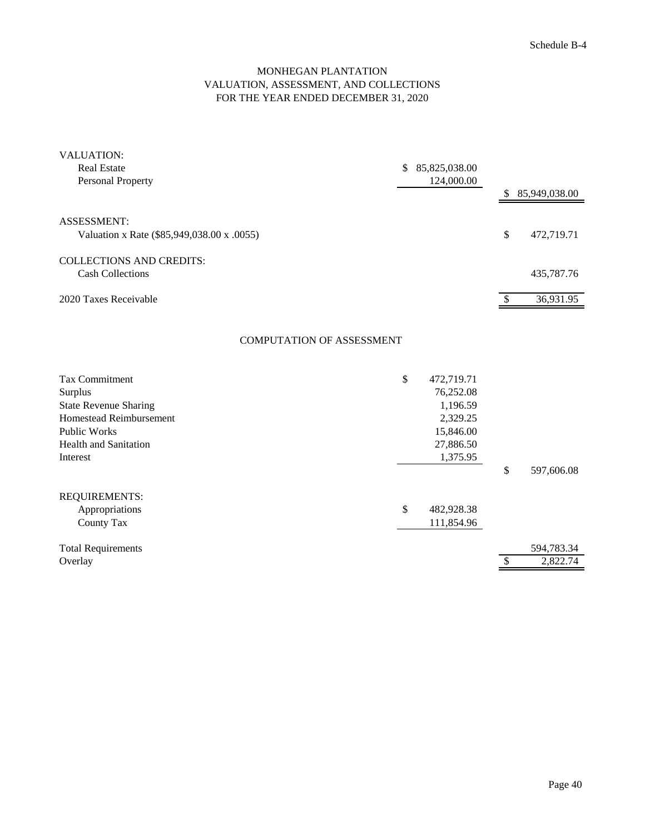# MONHEGAN PLANTATION VALUATION, ASSESSMENT, AND COLLECTIONS FOR THE YEAR ENDED DECEMBER 31, 2020

| <b>VALUATION:</b><br><b>Real Estate</b><br>Personal Property                                                                                                                                       | 85,825,038.00<br>\$<br>124,000.00                                                           | \$                        | 85,949,038.00 |
|----------------------------------------------------------------------------------------------------------------------------------------------------------------------------------------------------|---------------------------------------------------------------------------------------------|---------------------------|---------------|
| <b>ASSESSMENT:</b><br>Valuation x Rate (\$85,949,038.00 x .0055)                                                                                                                                   |                                                                                             | \$                        | 472,719.71    |
| <b>COLLECTIONS AND CREDITS:</b><br><b>Cash Collections</b>                                                                                                                                         |                                                                                             |                           | 435,787.76    |
| 2020 Taxes Receivable                                                                                                                                                                              |                                                                                             | $\boldsymbol{\mathsf{S}}$ | 36,931.95     |
| <b>COMPUTATION OF ASSESSMENT</b><br><b>Tax Commitment</b><br>Surplus<br><b>State Revenue Sharing</b><br>Homestead Reimbursement<br><b>Public Works</b><br><b>Health and Sanitation</b><br>Interest | \$<br>472,719.71<br>76,252.08<br>1,196.59<br>2,329.25<br>15,846.00<br>27,886.50<br>1,375.95 |                           |               |
| <b>REQUIREMENTS:</b><br>Appropriations<br>County Tax                                                                                                                                               | \$<br>482,928.38<br>111,854.96                                                              | \$                        | 597,606.08    |
| <b>Total Requirements</b>                                                                                                                                                                          |                                                                                             |                           | 594,783.34    |
| Overlay                                                                                                                                                                                            |                                                                                             | \$                        | 2,822.74      |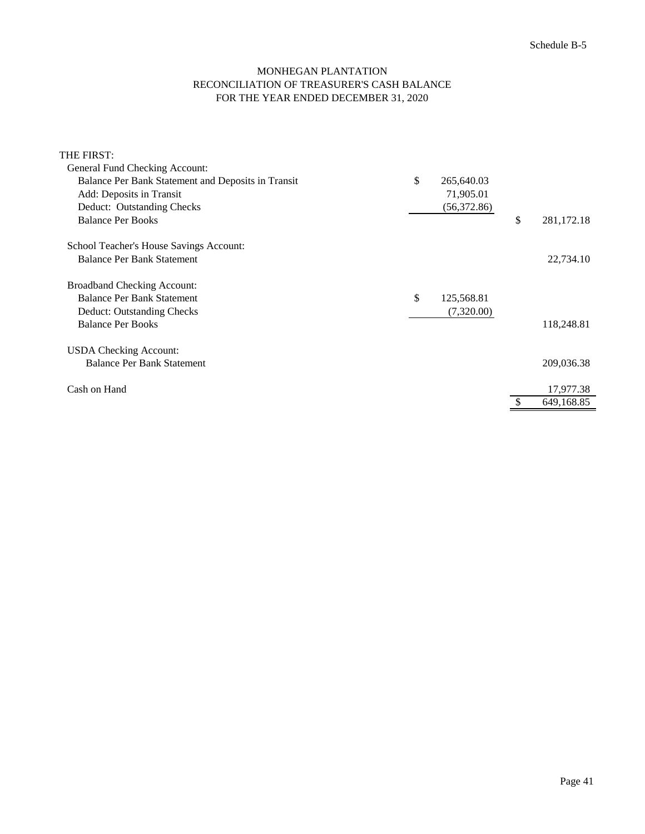# MONHEGAN PLANTATION RECONCILIATION OF TREASURER'S CASH BALANCE FOR THE YEAR ENDED DECEMBER 31, 2020

| General Fund Checking Account:<br>\$<br>Balance Per Bank Statement and Deposits in Transit<br>265,640.03<br>Add: Deposits in Transit<br>71,905.01<br>Deduct: Outstanding Checks<br>(56,372.86)<br>\$<br><b>Balance Per Books</b><br>281,172.18 |  |
|------------------------------------------------------------------------------------------------------------------------------------------------------------------------------------------------------------------------------------------------|--|
|                                                                                                                                                                                                                                                |  |
|                                                                                                                                                                                                                                                |  |
|                                                                                                                                                                                                                                                |  |
|                                                                                                                                                                                                                                                |  |
|                                                                                                                                                                                                                                                |  |
| School Teacher's House Savings Account:                                                                                                                                                                                                        |  |
| <b>Balance Per Bank Statement</b><br>22,734.10                                                                                                                                                                                                 |  |
| <b>Broadband Checking Account:</b>                                                                                                                                                                                                             |  |
| \$<br><b>Balance Per Bank Statement</b><br>125,568.81                                                                                                                                                                                          |  |
| (7,320.00)<br><b>Deduct: Outstanding Checks</b>                                                                                                                                                                                                |  |
| <b>Balance Per Books</b><br>118,248.81                                                                                                                                                                                                         |  |
| <b>USDA</b> Checking Account:                                                                                                                                                                                                                  |  |
| <b>Balance Per Bank Statement</b><br>209,036.38                                                                                                                                                                                                |  |
| Cash on Hand<br>17,977.38                                                                                                                                                                                                                      |  |
| 649,168.85                                                                                                                                                                                                                                     |  |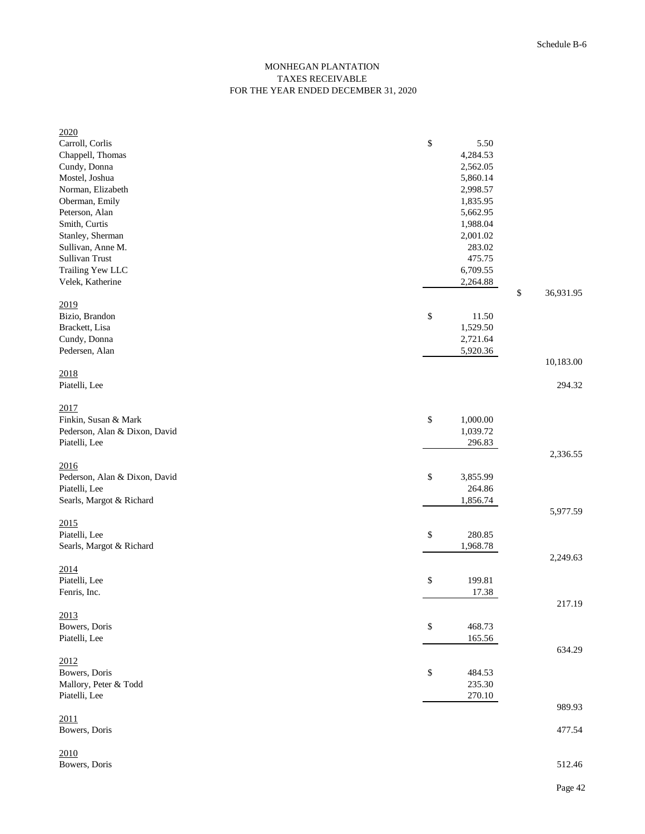### MONHEGAN PLANTATION TAXES RECEIVABLE FOR THE YEAR ENDED DECEMBER 31, 2020

| 2020                          |                |                 |
|-------------------------------|----------------|-----------------|
| Carroll, Corlis               | \$<br>5.50     |                 |
| Chappell, Thomas              | 4,284.53       |                 |
| Cundy, Donna                  | 2,562.05       |                 |
| Mostel, Joshua                | 5,860.14       |                 |
| Norman, Elizabeth             | 2,998.57       |                 |
| Oberman, Emily                | 1,835.95       |                 |
| Peterson, Alan                | 5,662.95       |                 |
| Smith, Curtis                 | 1,988.04       |                 |
| Stanley, Sherman              | 2,001.02       |                 |
| Sullivan, Anne M.             | 283.02         |                 |
| Sullivan Trust                | 475.75         |                 |
| Trailing Yew LLC              | 6,709.55       |                 |
| Velek, Katherine              | 2,264.88       |                 |
|                               |                | \$<br>36,931.95 |
| 2019                          |                |                 |
| Bizio, Brandon                | \$<br>11.50    |                 |
| Brackett, Lisa                | 1,529.50       |                 |
| Cundy, Donna                  | 2,721.64       |                 |
| Pedersen, Alan                | 5,920.36       |                 |
|                               |                | 10,183.00       |
| 2018                          |                |                 |
| Piatelli, Lee                 |                | 294.32          |
|                               |                |                 |
| 2017                          |                |                 |
| Finkin, Susan & Mark          | \$<br>1,000.00 |                 |
| Pederson, Alan & Dixon, David | 1,039.72       |                 |
| Piatelli, Lee                 | 296.83         |                 |
|                               |                | 2,336.55        |
| 2016                          |                |                 |
| Pederson, Alan & Dixon, David | \$<br>3,855.99 |                 |
| Piatelli, Lee                 | 264.86         |                 |
| Searls, Margot & Richard      | 1,856.74       |                 |
|                               |                | 5,977.59        |
| 2015                          |                |                 |
| Piatelli, Lee                 | \$<br>280.85   |                 |
| Searls, Margot & Richard      | 1,968.78       |                 |
|                               |                | 2,249.63        |
| 2014                          |                |                 |
| Piatelli, Lee                 | \$<br>199.81   |                 |
| Fenris, Inc.                  | 17.38          |                 |
|                               |                | 217.19          |
| 2013                          |                |                 |
| Bowers, Doris                 | \$<br>468.73   |                 |
| Piatelli, Lee                 | 165.56         |                 |
|                               |                | 634.29          |
| 2012                          |                |                 |
| Bowers, Doris                 | \$<br>484.53   |                 |
| Mallory, Peter & Todd         | 235.30         |                 |
| Piatelli, Lee                 | 270.10         |                 |
|                               |                | 989.93          |
| 2011                          |                |                 |
| Bowers, Doris                 |                | 477.54          |
|                               |                |                 |
| 2010                          |                |                 |
| Bowers, Doris                 |                | 512.46          |
|                               |                |                 |
|                               |                | Page 42         |
|                               |                |                 |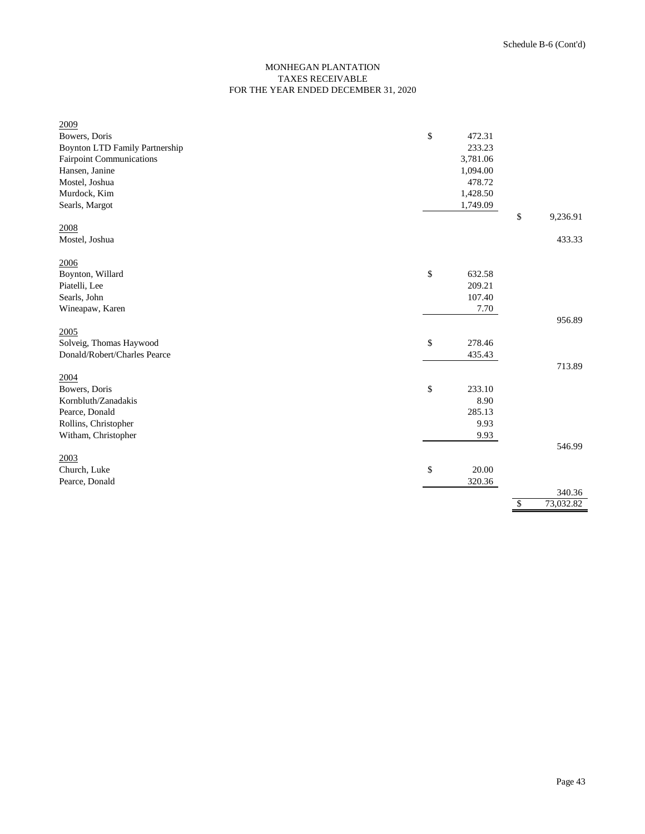### MONHEGAN PLANTATION TAXES RECEIVABLE FOR THE YEAR ENDED DECEMBER 31, 2020

| 2009                                        |              |                      |           |
|---------------------------------------------|--------------|----------------------|-----------|
| Bowers, Doris                               | \$<br>472.31 |                      |           |
| Boynton LTD Family Partnership              | 233.23       |                      |           |
| <b>Fairpoint Communications</b>             | 3,781.06     |                      |           |
| Hansen, Janine                              | 1,094.00     |                      |           |
| Mostel, Joshua                              | 478.72       |                      |           |
| Murdock, Kim                                | 1,428.50     |                      |           |
| Searls, Margot                              | 1,749.09     |                      |           |
|                                             |              | \$                   | 9,236.91  |
| 2008                                        |              |                      |           |
| Mostel, Joshua                              |              |                      | 433.33    |
|                                             |              |                      |           |
| 2006                                        |              |                      |           |
| Boynton, Willard                            | \$<br>632.58 |                      |           |
| Piatelli, Lee                               | 209.21       |                      |           |
| Searls, John                                | 107.40       |                      |           |
| Wineapaw, Karen                             | 7.70         |                      |           |
|                                             |              |                      | 956.89    |
| 2005                                        |              |                      |           |
| Solveig, Thomas Haywood                     | \$<br>278.46 |                      |           |
| Donald/Robert/Charles Pearce                | 435.43       |                      |           |
|                                             |              |                      | 713.89    |
| 2004<br>Bowers, Doris                       | \$<br>233.10 |                      |           |
| Kornbluth/Zanadakis                         | 8.90         |                      |           |
|                                             | 285.13       |                      |           |
| Pearce, Donald                              | 9.93         |                      |           |
| Rollins, Christopher<br>Witham, Christopher | 9.93         |                      |           |
|                                             |              |                      | 546.99    |
| 2003                                        |              |                      |           |
| Church, Luke                                | \$<br>20.00  |                      |           |
| Pearce, Donald                              | 320.36       |                      |           |
|                                             |              |                      | 340.36    |
|                                             |              | $\sqrt{\frac{2}{5}}$ | 73,032.82 |
|                                             |              |                      |           |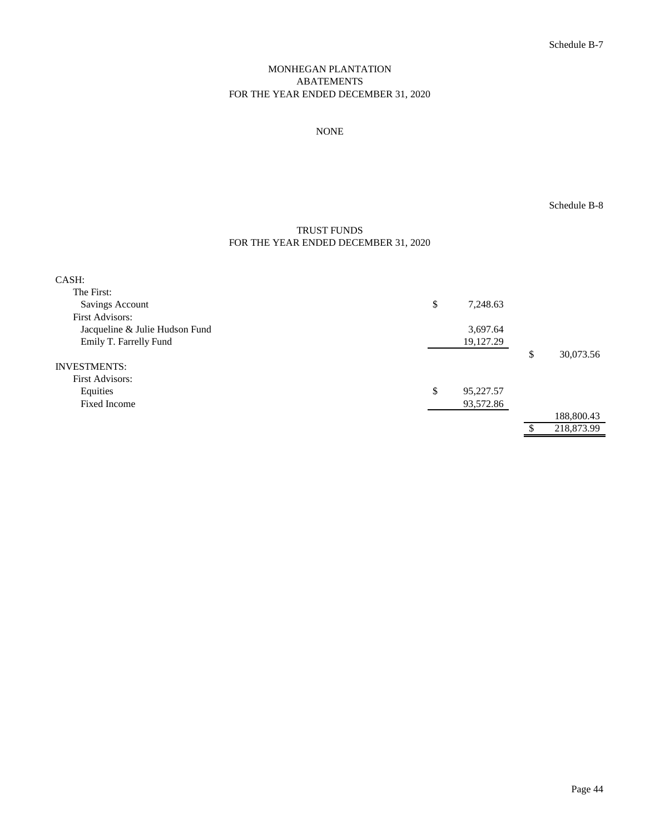# ABATEMENTS FOR THE YEAR ENDED DECEMBER 31, 2020 MONHEGAN PLANTATION

# NONE

Schedule B-8

# FOR THE YEAR ENDED DECEMBER 31, 2020 TRUST FUNDS

| CASH:                          |                 |                 |
|--------------------------------|-----------------|-----------------|
| The First:                     |                 |                 |
| <b>Savings Account</b>         | \$<br>7,248.63  |                 |
| <b>First Advisors:</b>         |                 |                 |
| Jacqueline & Julie Hudson Fund | 3,697.64        |                 |
| Emily T. Farrelly Fund         | 19,127.29       |                 |
|                                |                 | \$<br>30,073.56 |
| <b>INVESTMENTS:</b>            |                 |                 |
| <b>First Advisors:</b>         |                 |                 |
| Equities                       | \$<br>95,227.57 |                 |
| Fixed Income                   | 93,572.86       |                 |
|                                |                 | 188,800.43      |
|                                |                 | 218,873.99      |